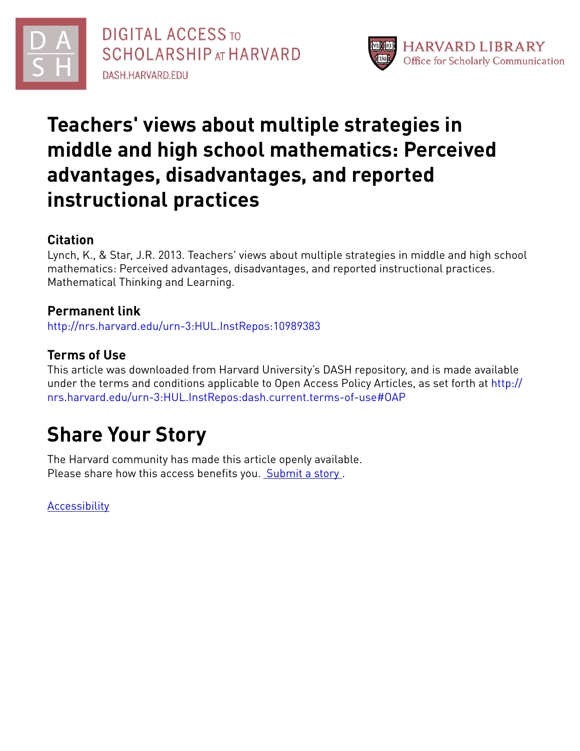

**DIGITAL ACCESS TO SCHOLARSHIP AT HARVARD DASH.HARVARD.EDU** 



# **Teachers' views about multiple strategies in middle and high school mathematics: Perceived advantages, disadvantages, and reported instructional practices**

## **Citation**

Lynch, K., & Star, J.R. 2013. Teachers' views about multiple strategies in middle and high school mathematics: Perceived advantages, disadvantages, and reported instructional practices. Mathematical Thinking and Learning.

## **Permanent link**

<http://nrs.harvard.edu/urn-3:HUL.InstRepos:10989383>

## **Terms of Use**

This article was downloaded from Harvard University's DASH repository, and is made available under the terms and conditions applicable to Open Access Policy Articles, as set forth at [http://](http://nrs.harvard.edu/urn-3:HUL.InstRepos:dash.current.terms-of-use#OAP) [nrs.harvard.edu/urn-3:HUL.InstRepos:dash.current.terms-of-use#OAP](http://nrs.harvard.edu/urn-3:HUL.InstRepos:dash.current.terms-of-use#OAP)

# **Share Your Story**

The Harvard community has made this article openly available. Please share how this access benefits you. [Submit](http://osc.hul.harvard.edu/dash/open-access-feedback?handle=&title=Teachers) a story.

**[Accessibility](https://dash.harvard.edu/pages/accessibility)**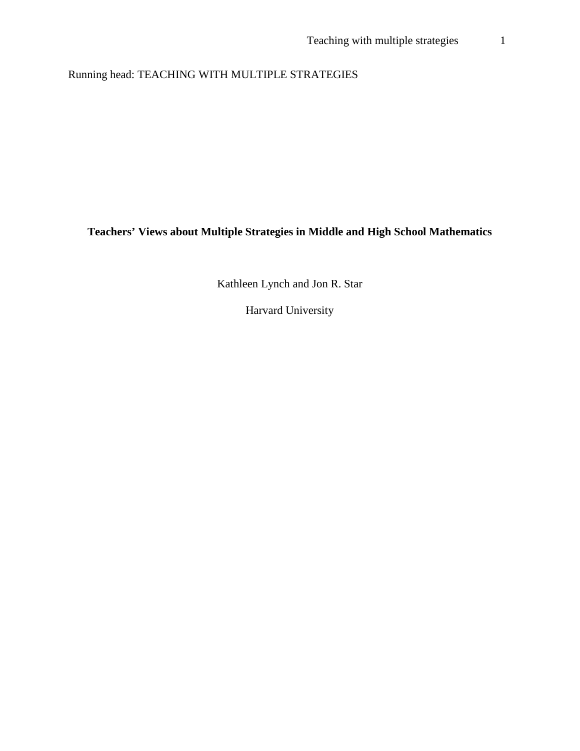## Running head: TEACHING WITH MULTIPLE STRATEGIES

## **Teachers' Views about Multiple Strategies in Middle and High School Mathematics**

Kathleen Lynch and Jon R. Star

Harvard University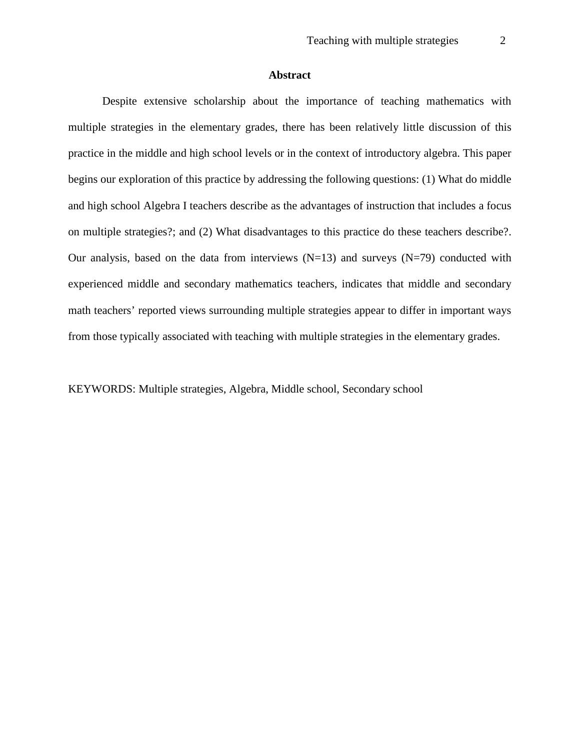#### **Abstract**

Despite extensive scholarship about the importance of teaching mathematics with multiple strategies in the elementary grades, there has been relatively little discussion of this practice in the middle and high school levels or in the context of introductory algebra. This paper begins our exploration of this practice by addressing the following questions: (1) What do middle and high school Algebra I teachers describe as the advantages of instruction that includes a focus on multiple strategies?; and (2) What disadvantages to this practice do these teachers describe?. Our analysis, based on the data from interviews  $(N=13)$  and surveys  $(N=79)$  conducted with experienced middle and secondary mathematics teachers, indicates that middle and secondary math teachers' reported views surrounding multiple strategies appear to differ in important ways from those typically associated with teaching with multiple strategies in the elementary grades.

KEYWORDS: Multiple strategies, Algebra, Middle school, Secondary school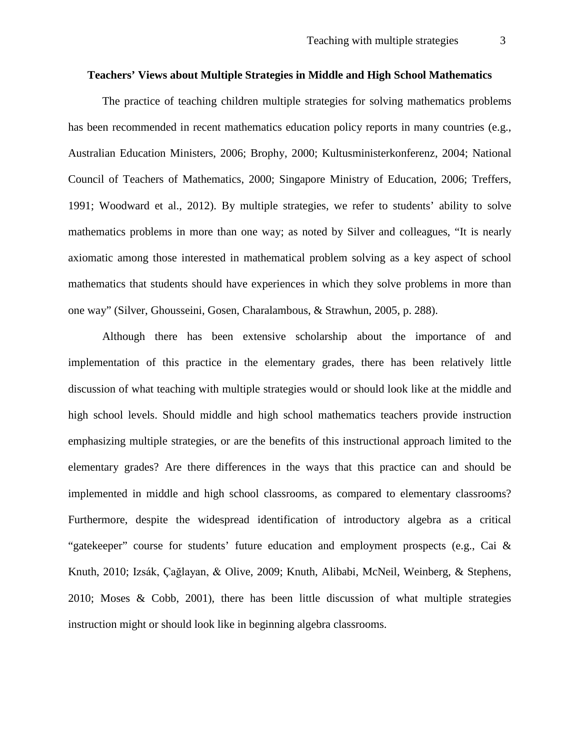#### **Teachers' Views about Multiple Strategies in Middle and High School Mathematics**

The practice of teaching children multiple strategies for solving mathematics problems has been recommended in recent mathematics education policy reports in many countries (e.g., Australian Education Ministers, 2006; Brophy, 2000; Kultusministerkonferenz, 2004; National Council of Teachers of Mathematics, 2000; Singapore Ministry of Education, 2006; Treffers, 1991; Woodward et al., 2012). By multiple strategies, we refer to students' ability to solve mathematics problems in more than one way; as noted by Silver and colleagues, "It is nearly axiomatic among those interested in mathematical problem solving as a key aspect of school mathematics that students should have experiences in which they solve problems in more than one way" (Silver, Ghousseini, Gosen, Charalambous, & Strawhun, 2005, p. 288).

Although there has been extensive scholarship about the importance of and implementation of this practice in the elementary grades, there has been relatively little discussion of what teaching with multiple strategies would or should look like at the middle and high school levels. Should middle and high school mathematics teachers provide instruction emphasizing multiple strategies, or are the benefits of this instructional approach limited to the elementary grades? Are there differences in the ways that this practice can and should be implemented in middle and high school classrooms, as compared to elementary classrooms? Furthermore, despite the widespread identification of introductory algebra as a critical "gatekeeper" course for students' future education and employment prospects (e.g., Cai  $\&$ Knuth, 2010; Izsák, Çağlayan, & Olive, 2009; Knuth, Alibabi, McNeil, Weinberg, & Stephens, 2010; Moses & Cobb, 2001), there has been little discussion of what multiple strategies instruction might or should look like in beginning algebra classrooms.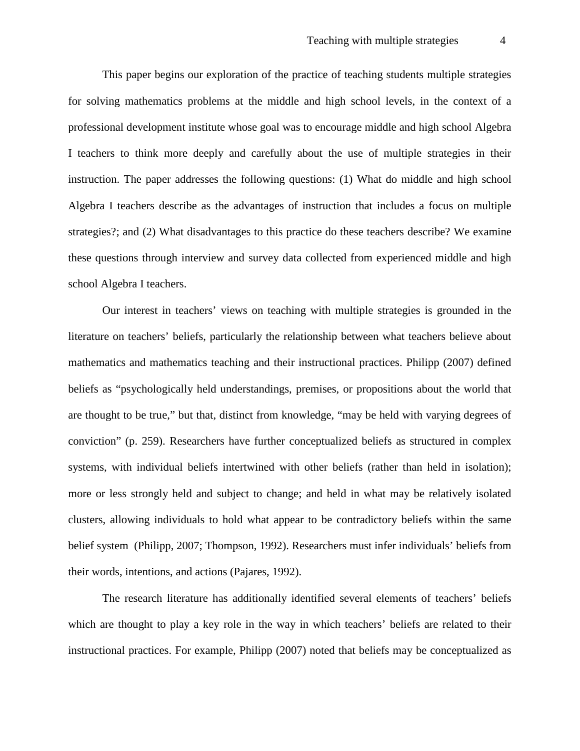This paper begins our exploration of the practice of teaching students multiple strategies for solving mathematics problems at the middle and high school levels, in the context of a professional development institute whose goal was to encourage middle and high school Algebra I teachers to think more deeply and carefully about the use of multiple strategies in their instruction. The paper addresses the following questions: (1) What do middle and high school Algebra I teachers describe as the advantages of instruction that includes a focus on multiple strategies?; and (2) What disadvantages to this practice do these teachers describe? We examine these questions through interview and survey data collected from experienced middle and high school Algebra I teachers.

Our interest in teachers' views on teaching with multiple strategies is grounded in the literature on teachers' beliefs, particularly the relationship between what teachers believe about mathematics and mathematics teaching and their instructional practices. Philipp (2007) defined beliefs as "psychologically held understandings, premises, or propositions about the world that are thought to be true," but that, distinct from knowledge, "may be held with varying degrees of conviction" (p. 259). Researchers have further conceptualized beliefs as structured in complex systems, with individual beliefs intertwined with other beliefs (rather than held in isolation); more or less strongly held and subject to change; and held in what may be relatively isolated clusters, allowing individuals to hold what appear to be contradictory beliefs within the same belief system (Philipp, 2007; Thompson, 1992). Researchers must infer individuals' beliefs from their words, intentions, and actions (Pajares, 1992).

The research literature has additionally identified several elements of teachers' beliefs which are thought to play a key role in the way in which teachers' beliefs are related to their instructional practices. For example, Philipp (2007) noted that beliefs may be conceptualized as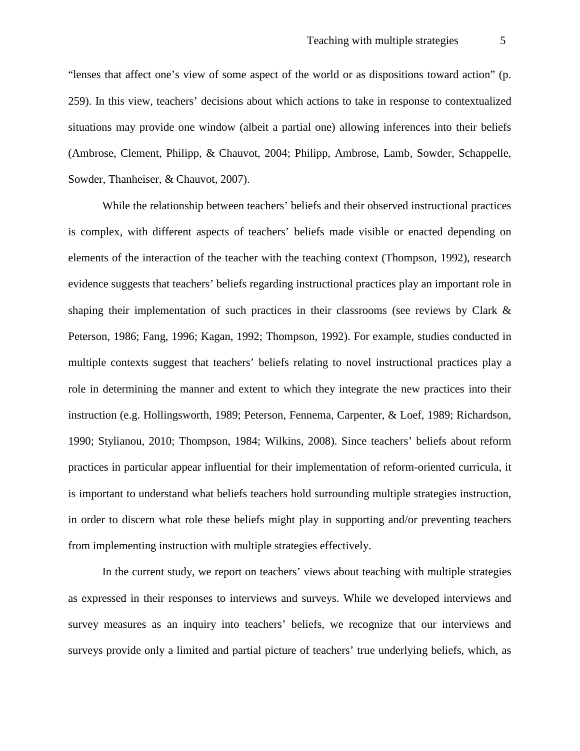"lenses that affect one's view of some aspect of the world or as dispositions toward action" (p. 259). In this view, teachers' decisions about which actions to take in response to contextualized situations may provide one window (albeit a partial one) allowing inferences into their beliefs (Ambrose, Clement, Philipp, & Chauvot, 2004; Philipp, Ambrose, Lamb, Sowder, Schappelle, Sowder, Thanheiser, & Chauvot, 2007).

While the relationship between teachers' beliefs and their observed instructional practices is complex, with different aspects of teachers' beliefs made visible or enacted depending on elements of the interaction of the teacher with the teaching context (Thompson, 1992), research evidence suggests that teachers' beliefs regarding instructional practices play an important role in shaping their implementation of such practices in their classrooms (see reviews by Clark  $\&$ Peterson, 1986; Fang, 1996; Kagan, 1992; Thompson, 1992). For example, studies conducted in multiple contexts suggest that teachers' beliefs relating to novel instructional practices play a role in determining the manner and extent to which they integrate the new practices into their instruction (e.g. Hollingsworth, 1989; Peterson, Fennema, Carpenter, & Loef, 1989; Richardson, 1990; Stylianou, 2010; Thompson, 1984; Wilkins, 2008). Since teachers' beliefs about reform practices in particular appear influential for their implementation of reform-oriented curricula, it is important to understand what beliefs teachers hold surrounding multiple strategies instruction, in order to discern what role these beliefs might play in supporting and/or preventing teachers from implementing instruction with multiple strategies effectively.

In the current study, we report on teachers' views about teaching with multiple strategies as expressed in their responses to interviews and surveys. While we developed interviews and survey measures as an inquiry into teachers' beliefs, we recognize that our interviews and surveys provide only a limited and partial picture of teachers' true underlying beliefs, which, as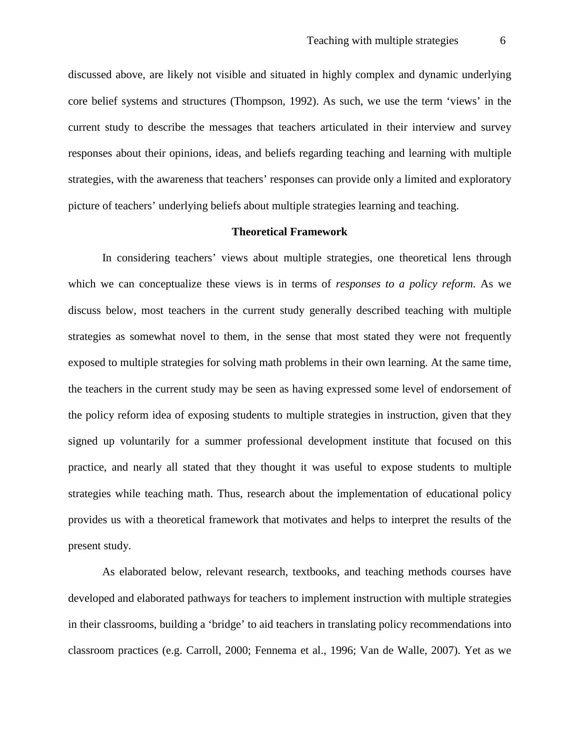discussed above, are likely not visible and situated in highly complex and dynamic underlying core belief systems and structures (Thompson, 1992). As such, we use the term 'views' in the current study to describe the messages that teachers articulated in their interview and survey responses about their opinions, ideas, and beliefs regarding teaching and learning with multiple strategies, with the awareness that teachers' responses can provide only a limited and exploratory picture of teachers' underlying beliefs about multiple strategies learning and teaching.

#### **Theoretical Framework**

In considering teachers' views about multiple strategies, one theoretical lens through which we can conceptualize these views is in terms of *responses to a policy reform*. As we discuss below, most teachers in the current study generally described teaching with multiple strategies as somewhat novel to them, in the sense that most stated they were not frequently exposed to multiple strategies for solving math problems in their own learning. At the same time, the teachers in the current study may be seen as having expressed some level of endorsement of the policy reform idea of exposing students to multiple strategies in instruction, given that they signed up voluntarily for a summer professional development institute that focused on this practice, and nearly all stated that they thought it was useful to expose students to multiple strategies while teaching math. Thus, research about the implementation of educational policy provides us with a theoretical framework that motivates and helps to interpret the results of the present study.

As elaborated below, relevant research, textbooks, and teaching methods courses have developed and elaborated pathways for teachers to implement instruction with multiple strategies in their classrooms, building a 'bridge' to aid teachers in translating policy recommendations into classroom practices (e.g. Carroll, 2000; Fennema et al., 1996; Van de Walle, 2007). Yet as we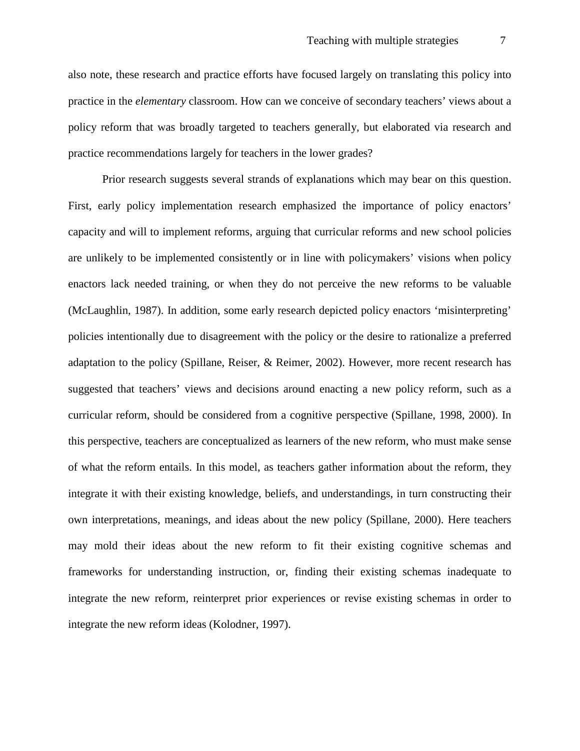also note, these research and practice efforts have focused largely on translating this policy into practice in the *elementary* classroom. How can we conceive of secondary teachers' views about a policy reform that was broadly targeted to teachers generally, but elaborated via research and practice recommendations largely for teachers in the lower grades?

Prior research suggests several strands of explanations which may bear on this question. First, early policy implementation research emphasized the importance of policy enactors' capacity and will to implement reforms, arguing that curricular reforms and new school policies are unlikely to be implemented consistently or in line with policymakers' visions when policy enactors lack needed training, or when they do not perceive the new reforms to be valuable (McLaughlin, 1987). In addition, some early research depicted policy enactors 'misinterpreting' policies intentionally due to disagreement with the policy or the desire to rationalize a preferred adaptation to the policy (Spillane, Reiser, & Reimer, 2002). However, more recent research has suggested that teachers' views and decisions around enacting a new policy reform, such as a curricular reform, should be considered from a cognitive perspective (Spillane, 1998, 2000). In this perspective, teachers are conceptualized as learners of the new reform, who must make sense of what the reform entails. In this model, as teachers gather information about the reform, they integrate it with their existing knowledge, beliefs, and understandings, in turn constructing their own interpretations, meanings, and ideas about the new policy (Spillane, 2000). Here teachers may mold their ideas about the new reform to fit their existing cognitive schemas and frameworks for understanding instruction, or, finding their existing schemas inadequate to integrate the new reform, reinterpret prior experiences or revise existing schemas in order to integrate the new reform ideas (Kolodner, 1997).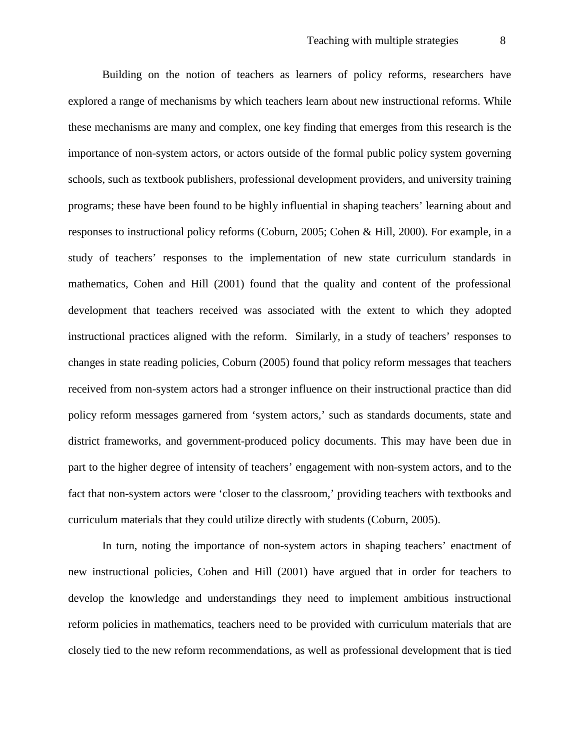Building on the notion of teachers as learners of policy reforms, researchers have explored a range of mechanisms by which teachers learn about new instructional reforms. While these mechanisms are many and complex, one key finding that emerges from this research is the importance of non-system actors, or actors outside of the formal public policy system governing schools, such as textbook publishers, professional development providers, and university training programs; these have been found to be highly influential in shaping teachers' learning about and responses to instructional policy reforms (Coburn, 2005; Cohen & Hill, 2000). For example, in a study of teachers' responses to the implementation of new state curriculum standards in mathematics, Cohen and Hill (2001) found that the quality and content of the professional development that teachers received was associated with the extent to which they adopted instructional practices aligned with the reform. Similarly, in a study of teachers' responses to changes in state reading policies, Coburn (2005) found that policy reform messages that teachers received from non-system actors had a stronger influence on their instructional practice than did policy reform messages garnered from 'system actors,' such as standards documents, state and district frameworks, and government-produced policy documents. This may have been due in part to the higher degree of intensity of teachers' engagement with non-system actors, and to the fact that non-system actors were 'closer to the classroom,' providing teachers with textbooks and curriculum materials that they could utilize directly with students (Coburn, 2005).

In turn, noting the importance of non-system actors in shaping teachers' enactment of new instructional policies, Cohen and Hill (2001) have argued that in order for teachers to develop the knowledge and understandings they need to implement ambitious instructional reform policies in mathematics, teachers need to be provided with curriculum materials that are closely tied to the new reform recommendations, as well as professional development that is tied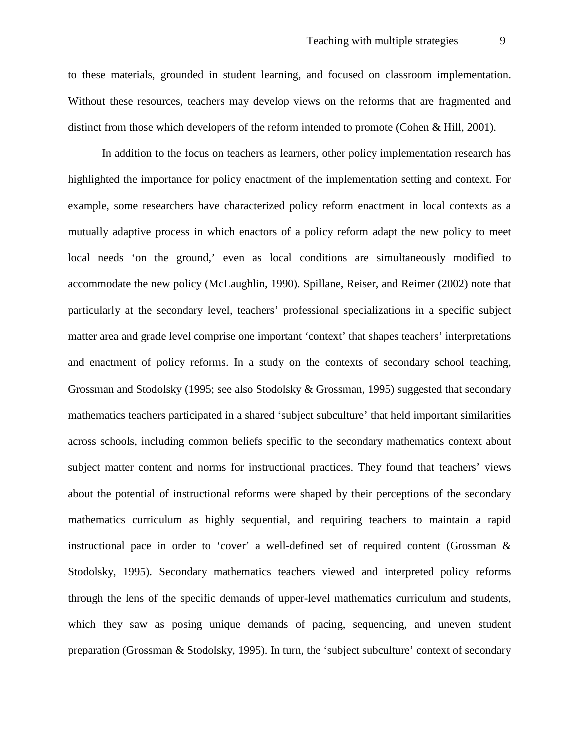to these materials, grounded in student learning, and focused on classroom implementation. Without these resources, teachers may develop views on the reforms that are fragmented and distinct from those which developers of the reform intended to promote (Cohen & Hill, 2001).

In addition to the focus on teachers as learners, other policy implementation research has highlighted the importance for policy enactment of the implementation setting and context. For example, some researchers have characterized policy reform enactment in local contexts as a mutually adaptive process in which enactors of a policy reform adapt the new policy to meet local needs 'on the ground,' even as local conditions are simultaneously modified to accommodate the new policy (McLaughlin, 1990). Spillane, Reiser, and Reimer (2002) note that particularly at the secondary level, teachers' professional specializations in a specific subject matter area and grade level comprise one important 'context' that shapes teachers' interpretations and enactment of policy reforms. In a study on the contexts of secondary school teaching, Grossman and Stodolsky (1995; see also Stodolsky & Grossman, 1995) suggested that secondary mathematics teachers participated in a shared 'subject subculture' that held important similarities across schools, including common beliefs specific to the secondary mathematics context about subject matter content and norms for instructional practices. They found that teachers' views about the potential of instructional reforms were shaped by their perceptions of the secondary mathematics curriculum as highly sequential, and requiring teachers to maintain a rapid instructional pace in order to 'cover' a well-defined set of required content (Grossman & Stodolsky, 1995). Secondary mathematics teachers viewed and interpreted policy reforms through the lens of the specific demands of upper-level mathematics curriculum and students, which they saw as posing unique demands of pacing, sequencing, and uneven student preparation (Grossman & Stodolsky, 1995). In turn, the 'subject subculture' context of secondary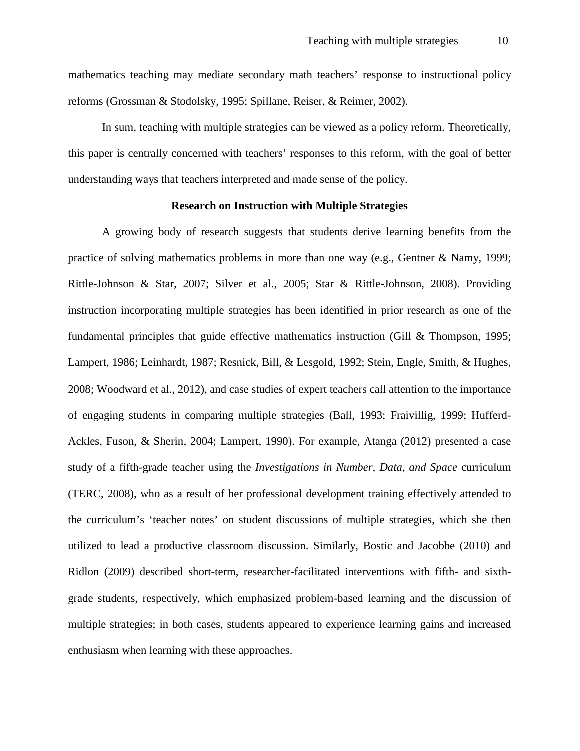mathematics teaching may mediate secondary math teachers' response to instructional policy reforms (Grossman & Stodolsky, 1995; Spillane, Reiser, & Reimer, 2002).

In sum, teaching with multiple strategies can be viewed as a policy reform. Theoretically, this paper is centrally concerned with teachers' responses to this reform, with the goal of better understanding ways that teachers interpreted and made sense of the policy.

#### **Research on Instruction with Multiple Strategies**

A growing body of research suggests that students derive learning benefits from the practice of solving mathematics problems in more than one way (e.g., Gentner & Namy, 1999; Rittle-Johnson & Star, 2007; Silver et al., 2005; Star & Rittle-Johnson, 2008). Providing instruction incorporating multiple strategies has been identified in prior research as one of the fundamental principles that guide effective mathematics instruction (Gill & Thompson, 1995; Lampert, 1986; Leinhardt, 1987; Resnick, Bill, & Lesgold, 1992; Stein, Engle, Smith, & Hughes, 2008; Woodward et al., 2012), and case studies of expert teachers call attention to the importance of engaging students in comparing multiple strategies (Ball, 1993; Fraivillig, 1999; Hufferd-Ackles, Fuson, & Sherin, 2004; Lampert, 1990). For example, Atanga (2012) presented a case study of a fifth-grade teacher using the *Investigations in Number, Data, and Space* curriculum (TERC, 2008), who as a result of her professional development training effectively attended to the curriculum's 'teacher notes' on student discussions of multiple strategies, which she then utilized to lead a productive classroom discussion. Similarly, Bostic and Jacobbe (2010) and Ridlon (2009) described short-term, researcher-facilitated interventions with fifth- and sixthgrade students, respectively, which emphasized problem-based learning and the discussion of multiple strategies; in both cases, students appeared to experience learning gains and increased enthusiasm when learning with these approaches.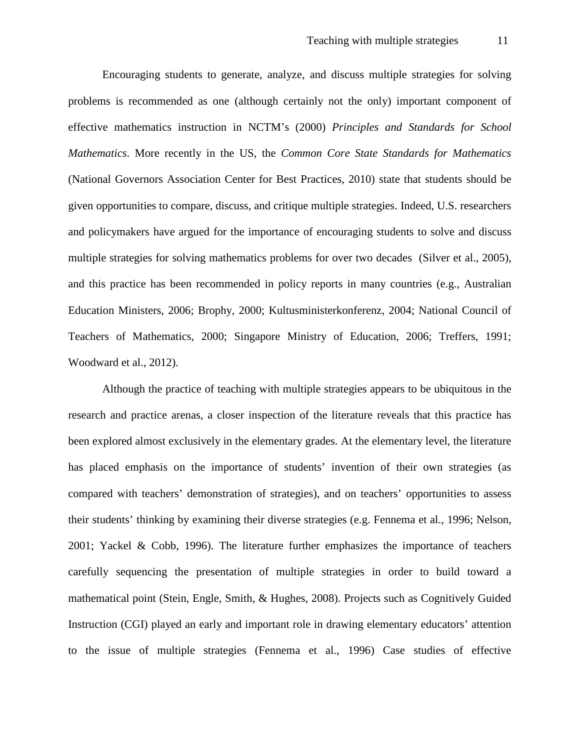Encouraging students to generate, analyze, and discuss multiple strategies for solving problems is recommended as one (although certainly not the only) important component of effective mathematics instruction in NCTM's (2000) *Principles and Standards for School Mathematics*. More recently in the US, the *Common Core State Standards for Mathematics* (National Governors Association Center for Best Practices, 2010) state that students should be given opportunities to compare, discuss, and critique multiple strategies. Indeed, U.S. researchers and policymakers have argued for the importance of encouraging students to solve and discuss multiple strategies for solving mathematics problems for over two decades (Silver et al., 2005), and this practice has been recommended in policy reports in many countries (e.g., Australian Education Ministers, 2006; Brophy, 2000; Kultusministerkonferenz, 2004; National Council of Teachers of Mathematics, 2000; Singapore Ministry of Education, 2006; Treffers, 1991; Woodward et al., 2012).

Although the practice of teaching with multiple strategies appears to be ubiquitous in the research and practice arenas, a closer inspection of the literature reveals that this practice has been explored almost exclusively in the elementary grades. At the elementary level, the literature has placed emphasis on the importance of students' invention of their own strategies (as compared with teachers' demonstration of strategies), and on teachers' opportunities to assess their students' thinking by examining their diverse strategies (e.g. Fennema et al., 1996; Nelson, 2001; Yackel & Cobb, 1996). The literature further emphasizes the importance of teachers carefully sequencing the presentation of multiple strategies in order to build toward a mathematical point (Stein, Engle, Smith, & Hughes, 2008). Projects such as Cognitively Guided Instruction (CGI) played an early and important role in drawing elementary educators' attention to the issue of multiple strategies (Fennema et al., 1996) Case studies of effective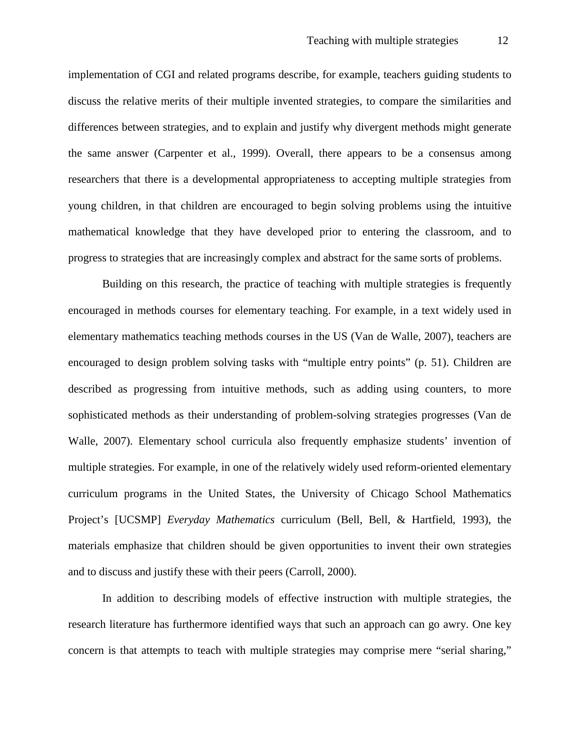implementation of CGI and related programs describe, for example, teachers guiding students to discuss the relative merits of their multiple invented strategies, to compare the similarities and differences between strategies, and to explain and justify why divergent methods might generate the same answer (Carpenter et al., 1999). Overall, there appears to be a consensus among researchers that there is a developmental appropriateness to accepting multiple strategies from young children, in that children are encouraged to begin solving problems using the intuitive mathematical knowledge that they have developed prior to entering the classroom, and to progress to strategies that are increasingly complex and abstract for the same sorts of problems.

Building on this research, the practice of teaching with multiple strategies is frequently encouraged in methods courses for elementary teaching. For example, in a text widely used in elementary mathematics teaching methods courses in the US (Van de Walle, 2007), teachers are encouraged to design problem solving tasks with "multiple entry points" (p. 51). Children are described as progressing from intuitive methods, such as adding using counters, to more sophisticated methods as their understanding of problem-solving strategies progresses (Van de Walle, 2007). Elementary school curricula also frequently emphasize students' invention of multiple strategies. For example, in one of the relatively widely used reform-oriented elementary curriculum programs in the United States, the University of Chicago School Mathematics Project's [UCSMP] *Everyday Mathematics* curriculum (Bell, Bell, & Hartfield, 1993), the materials emphasize that children should be given opportunities to invent their own strategies and to discuss and justify these with their peers (Carroll, 2000).

In addition to describing models of effective instruction with multiple strategies, the research literature has furthermore identified ways that such an approach can go awry. One key concern is that attempts to teach with multiple strategies may comprise mere "serial sharing,"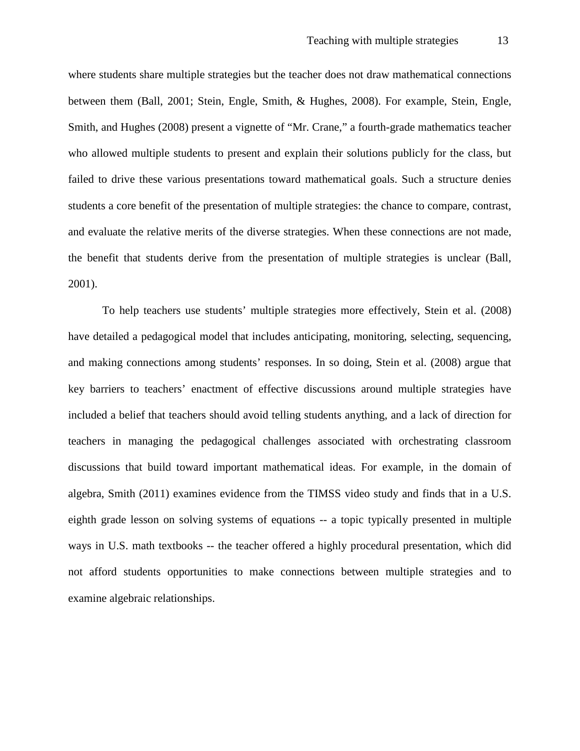where students share multiple strategies but the teacher does not draw mathematical connections between them (Ball, 2001; Stein, Engle, Smith, & Hughes, 2008). For example, Stein, Engle, Smith, and Hughes (2008) present a vignette of "Mr. Crane," a fourth-grade mathematics teacher who allowed multiple students to present and explain their solutions publicly for the class, but failed to drive these various presentations toward mathematical goals. Such a structure denies students a core benefit of the presentation of multiple strategies: the chance to compare, contrast, and evaluate the relative merits of the diverse strategies. When these connections are not made, the benefit that students derive from the presentation of multiple strategies is unclear (Ball, 2001).

To help teachers use students' multiple strategies more effectively, Stein et al. (2008) have detailed a pedagogical model that includes anticipating, monitoring, selecting, sequencing, and making connections among students' responses. In so doing, Stein et al. (2008) argue that key barriers to teachers' enactment of effective discussions around multiple strategies have included a belief that teachers should avoid telling students anything, and a lack of direction for teachers in managing the pedagogical challenges associated with orchestrating classroom discussions that build toward important mathematical ideas. For example, in the domain of algebra, Smith (2011) examines evidence from the TIMSS video study and finds that in a U.S. eighth grade lesson on solving systems of equations -- a topic typically presented in multiple ways in U.S. math textbooks -- the teacher offered a highly procedural presentation, which did not afford students opportunities to make connections between multiple strategies and to examine algebraic relationships.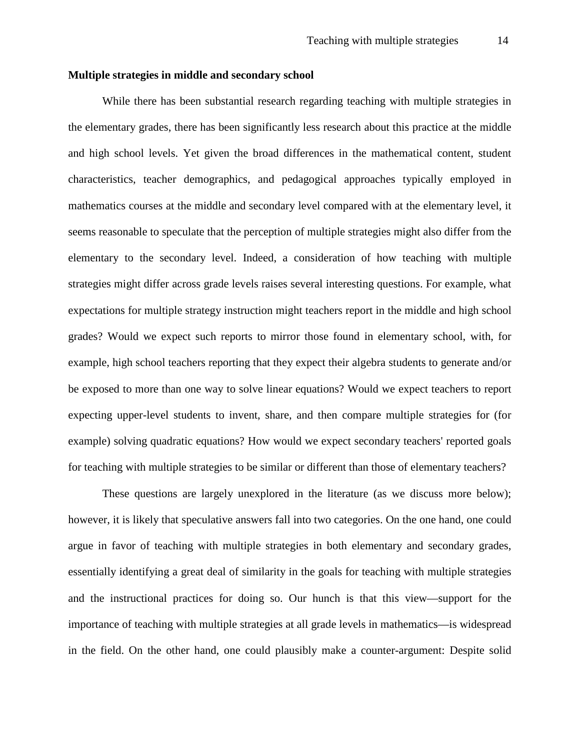#### **Multiple strategies in middle and secondary school**

While there has been substantial research regarding teaching with multiple strategies in the elementary grades, there has been significantly less research about this practice at the middle and high school levels. Yet given the broad differences in the mathematical content, student characteristics, teacher demographics, and pedagogical approaches typically employed in mathematics courses at the middle and secondary level compared with at the elementary level, it seems reasonable to speculate that the perception of multiple strategies might also differ from the elementary to the secondary level. Indeed, a consideration of how teaching with multiple strategies might differ across grade levels raises several interesting questions. For example, what expectations for multiple strategy instruction might teachers report in the middle and high school grades? Would we expect such reports to mirror those found in elementary school, with, for example, high school teachers reporting that they expect their algebra students to generate and/or be exposed to more than one way to solve linear equations? Would we expect teachers to report expecting upper-level students to invent, share, and then compare multiple strategies for (for example) solving quadratic equations? How would we expect secondary teachers' reported goals for teaching with multiple strategies to be similar or different than those of elementary teachers?

These questions are largely unexplored in the literature (as we discuss more below); however, it is likely that speculative answers fall into two categories. On the one hand, one could argue in favor of teaching with multiple strategies in both elementary and secondary grades, essentially identifying a great deal of similarity in the goals for teaching with multiple strategies and the instructional practices for doing so. Our hunch is that this view—support for the importance of teaching with multiple strategies at all grade levels in mathematics—is widespread in the field. On the other hand, one could plausibly make a counter-argument: Despite solid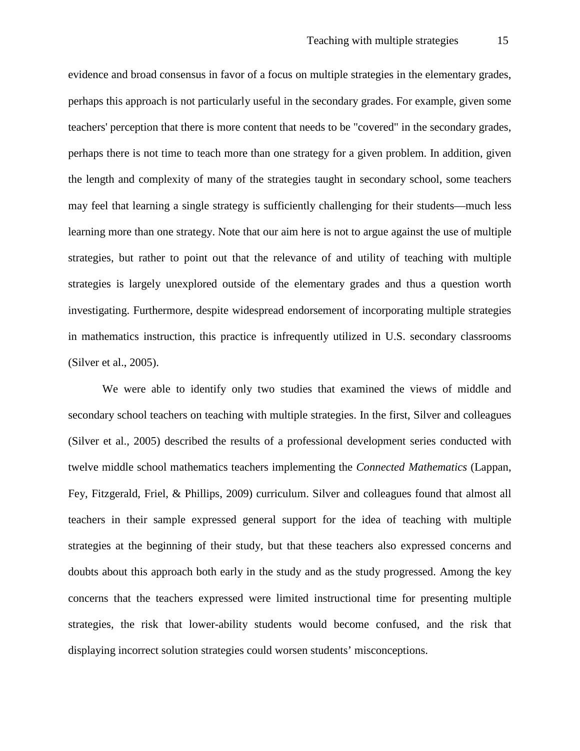evidence and broad consensus in favor of a focus on multiple strategies in the elementary grades, perhaps this approach is not particularly useful in the secondary grades. For example, given some teachers' perception that there is more content that needs to be "covered" in the secondary grades, perhaps there is not time to teach more than one strategy for a given problem. In addition, given the length and complexity of many of the strategies taught in secondary school, some teachers may feel that learning a single strategy is sufficiently challenging for their students—much less learning more than one strategy. Note that our aim here is not to argue against the use of multiple strategies, but rather to point out that the relevance of and utility of teaching with multiple strategies is largely unexplored outside of the elementary grades and thus a question worth investigating. Furthermore, despite widespread endorsement of incorporating multiple strategies in mathematics instruction, this practice is infrequently utilized in U.S. secondary classrooms (Silver et al., 2005).

We were able to identify only two studies that examined the views of middle and secondary school teachers on teaching with multiple strategies. In the first, Silver and colleagues (Silver et al., 2005) described the results of a professional development series conducted with twelve middle school mathematics teachers implementing the *Connected Mathematics* (Lappan, Fey, Fitzgerald, Friel, & Phillips, 2009) curriculum. Silver and colleagues found that almost all teachers in their sample expressed general support for the idea of teaching with multiple strategies at the beginning of their study, but that these teachers also expressed concerns and doubts about this approach both early in the study and as the study progressed. Among the key concerns that the teachers expressed were limited instructional time for presenting multiple strategies, the risk that lower-ability students would become confused, and the risk that displaying incorrect solution strategies could worsen students' misconceptions.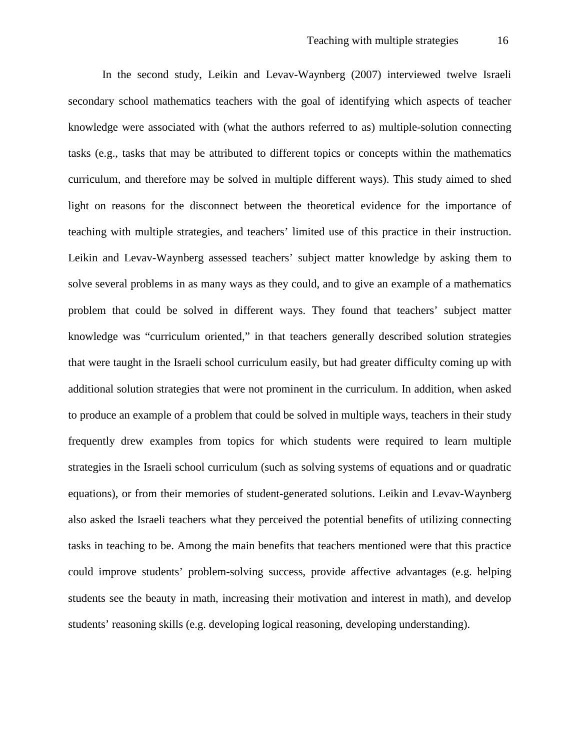In the second study, Leikin and Levav-Waynberg (2007) interviewed twelve Israeli secondary school mathematics teachers with the goal of identifying which aspects of teacher knowledge were associated with (what the authors referred to as) multiple-solution connecting tasks (e.g., tasks that may be attributed to different topics or concepts within the mathematics curriculum, and therefore may be solved in multiple different ways). This study aimed to shed light on reasons for the disconnect between the theoretical evidence for the importance of teaching with multiple strategies, and teachers' limited use of this practice in their instruction. Leikin and Levav-Waynberg assessed teachers' subject matter knowledge by asking them to solve several problems in as many ways as they could, and to give an example of a mathematics problem that could be solved in different ways. They found that teachers' subject matter knowledge was "curriculum oriented," in that teachers generally described solution strategies that were taught in the Israeli school curriculum easily, but had greater difficulty coming up with additional solution strategies that were not prominent in the curriculum. In addition, when asked to produce an example of a problem that could be solved in multiple ways, teachers in their study frequently drew examples from topics for which students were required to learn multiple strategies in the Israeli school curriculum (such as solving systems of equations and or quadratic equations), or from their memories of student-generated solutions. Leikin and Levav-Waynberg also asked the Israeli teachers what they perceived the potential benefits of utilizing connecting tasks in teaching to be. Among the main benefits that teachers mentioned were that this practice could improve students' problem-solving success, provide affective advantages (e.g. helping students see the beauty in math, increasing their motivation and interest in math), and develop students' reasoning skills (e.g. developing logical reasoning, developing understanding).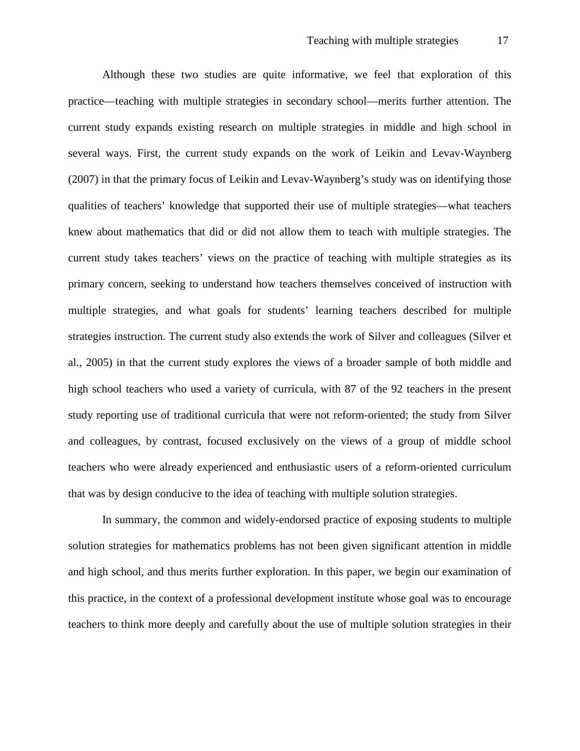Although these two studies are quite informative, we feel that exploration of this practice—teaching with multiple strategies in secondary school—merits further attention. The current study expands existing research on multiple strategies in middle and high school in several ways. First, the current study expands on the work of Leikin and Levav-Waynberg (2007) in that the primary focus of Leikin and Levav-Waynberg's study was on identifying those qualities of teachers' knowledge that supported their use of multiple strategies—what teachers knew about mathematics that did or did not allow them to teach with multiple strategies. The current study takes teachers' views on the practice of teaching with multiple strategies as its primary concern, seeking to understand how teachers themselves conceived of instruction with multiple strategies, and what goals for students' learning teachers described for multiple strategies instruction. The current study also extends the work of Silver and colleagues (Silver et al., 2005) in that the current study explores the views of a broader sample of both middle and high school teachers who used a variety of curricula, with 87 of the 92 teachers in the present study reporting use of traditional curricula that were not reform-oriented; the study from Silver and colleagues, by contrast, focused exclusively on the views of a group of middle school teachers who were already experienced and enthusiastic users of a reform-oriented curriculum that was by design conducive to the idea of teaching with multiple solution strategies.

In summary, the common and widely-endorsed practice of exposing students to multiple solution strategies for mathematics problems has not been given significant attention in middle and high school, and thus merits further exploration. In this paper, we begin our examination of this practice, in the context of a professional development institute whose goal was to encourage teachers to think more deeply and carefully about the use of multiple solution strategies in their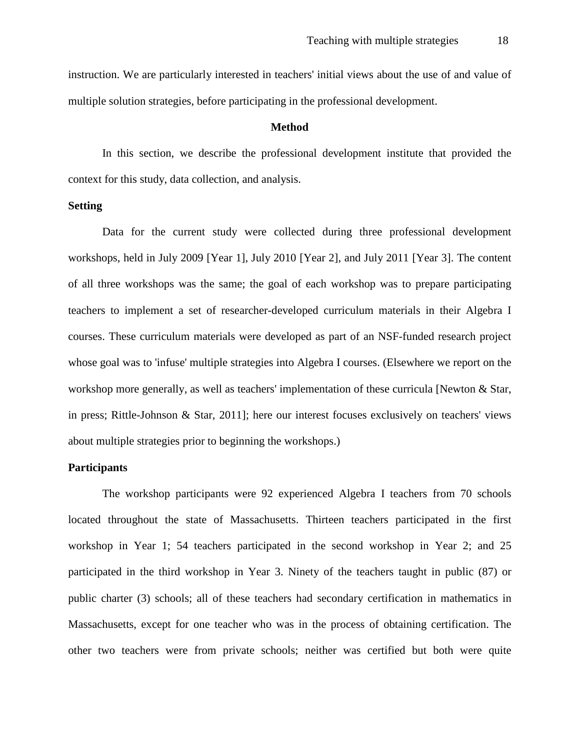instruction. We are particularly interested in teachers' initial views about the use of and value of multiple solution strategies, before participating in the professional development.

#### **Method**

In this section, we describe the professional development institute that provided the context for this study, data collection, and analysis.

#### **Setting**

Data for the current study were collected during three professional development workshops, held in July 2009 [Year 1], July 2010 [Year 2], and July 2011 [Year 3]. The content of all three workshops was the same; the goal of each workshop was to prepare participating teachers to implement a set of researcher-developed curriculum materials in their Algebra I courses. These curriculum materials were developed as part of an NSF-funded research project whose goal was to 'infuse' multiple strategies into Algebra I courses. (Elsewhere we report on the workshop more generally, as well as teachers' implementation of these curricula [Newton & Star, in press; Rittle-Johnson & Star, 2011]; here our interest focuses exclusively on teachers' views about multiple strategies prior to beginning the workshops.)

#### **Participants**

The workshop participants were 92 experienced Algebra I teachers from 70 schools located throughout the state of Massachusetts. Thirteen teachers participated in the first workshop in Year 1; 54 teachers participated in the second workshop in Year 2; and 25 participated in the third workshop in Year 3. Ninety of the teachers taught in public (87) or public charter (3) schools; all of these teachers had secondary certification in mathematics in Massachusetts, except for one teacher who was in the process of obtaining certification. The other two teachers were from private schools; neither was certified but both were quite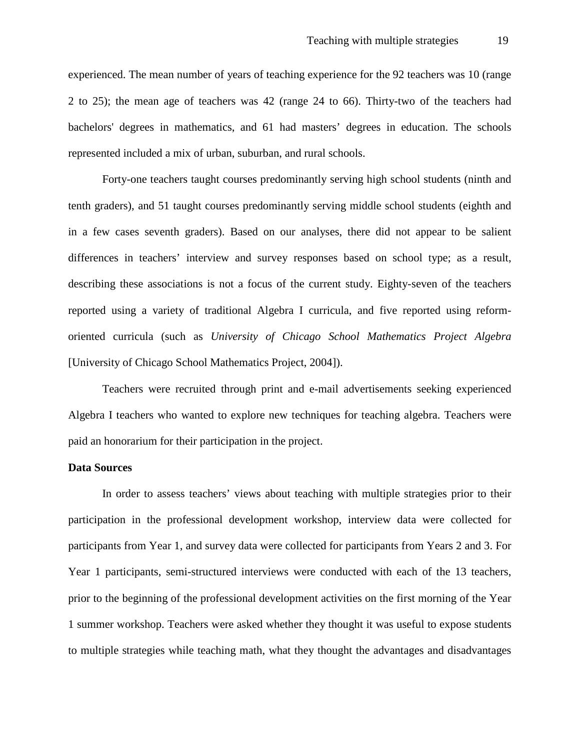experienced. The mean number of years of teaching experience for the 92 teachers was 10 (range 2 to 25); the mean age of teachers was 42 (range 24 to 66). Thirty-two of the teachers had bachelors' degrees in mathematics, and 61 had masters' degrees in education. The schools represented included a mix of urban, suburban, and rural schools.

Forty-one teachers taught courses predominantly serving high school students (ninth and tenth graders), and 51 taught courses predominantly serving middle school students (eighth and in a few cases seventh graders). Based on our analyses, there did not appear to be salient differences in teachers' interview and survey responses based on school type; as a result, describing these associations is not a focus of the current study. Eighty-seven of the teachers reported using a variety of traditional Algebra I curricula, and five reported using reformoriented curricula (such as *University of Chicago School Mathematics Project Algebra*  [University of Chicago School Mathematics Project, 2004]).

Teachers were recruited through print and e-mail advertisements seeking experienced Algebra I teachers who wanted to explore new techniques for teaching algebra. Teachers were paid an honorarium for their participation in the project.

#### **Data Sources**

In order to assess teachers' views about teaching with multiple strategies prior to their participation in the professional development workshop, interview data were collected for participants from Year 1, and survey data were collected for participants from Years 2 and 3. For Year 1 participants, semi-structured interviews were conducted with each of the 13 teachers, prior to the beginning of the professional development activities on the first morning of the Year 1 summer workshop. Teachers were asked whether they thought it was useful to expose students to multiple strategies while teaching math, what they thought the advantages and disadvantages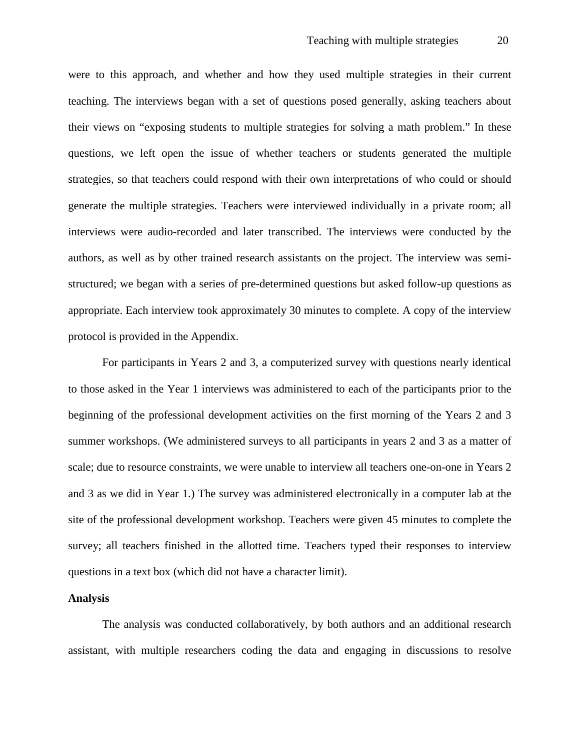were to this approach, and whether and how they used multiple strategies in their current teaching. The interviews began with a set of questions posed generally, asking teachers about their views on "exposing students to multiple strategies for solving a math problem." In these questions, we left open the issue of whether teachers or students generated the multiple strategies, so that teachers could respond with their own interpretations of who could or should generate the multiple strategies. Teachers were interviewed individually in a private room; all interviews were audio-recorded and later transcribed. The interviews were conducted by the authors, as well as by other trained research assistants on the project. The interview was semistructured; we began with a series of pre-determined questions but asked follow-up questions as appropriate. Each interview took approximately 30 minutes to complete. A copy of the interview protocol is provided in the Appendix.

For participants in Years 2 and 3, a computerized survey with questions nearly identical to those asked in the Year 1 interviews was administered to each of the participants prior to the beginning of the professional development activities on the first morning of the Years 2 and 3 summer workshops. (We administered surveys to all participants in years 2 and 3 as a matter of scale; due to resource constraints, we were unable to interview all teachers one-on-one in Years 2 and 3 as we did in Year 1.) The survey was administered electronically in a computer lab at the site of the professional development workshop. Teachers were given 45 minutes to complete the survey; all teachers finished in the allotted time. Teachers typed their responses to interview questions in a text box (which did not have a character limit).

#### **Analysis**

The analysis was conducted collaboratively, by both authors and an additional research assistant, with multiple researchers coding the data and engaging in discussions to resolve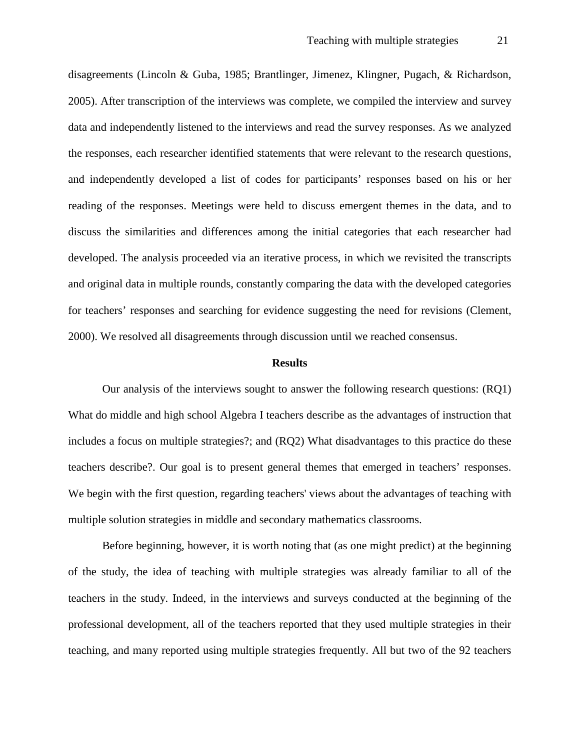disagreements (Lincoln & Guba, 1985; Brantlinger, Jimenez, Klingner, Pugach, & Richardson, 2005). After transcription of the interviews was complete, we compiled the interview and survey data and independently listened to the interviews and read the survey responses. As we analyzed the responses, each researcher identified statements that were relevant to the research questions, and independently developed a list of codes for participants' responses based on his or her reading of the responses. Meetings were held to discuss emergent themes in the data, and to discuss the similarities and differences among the initial categories that each researcher had developed. The analysis proceeded via an iterative process, in which we revisited the transcripts and original data in multiple rounds, constantly comparing the data with the developed categories for teachers' responses and searching for evidence suggesting the need for revisions (Clement, 2000). We resolved all disagreements through discussion until we reached consensus.

#### **Results**

Our analysis of the interviews sought to answer the following research questions: (RQ1) What do middle and high school Algebra I teachers describe as the advantages of instruction that includes a focus on multiple strategies?; and (RQ2) What disadvantages to this practice do these teachers describe?. Our goal is to present general themes that emerged in teachers' responses. We begin with the first question, regarding teachers' views about the advantages of teaching with multiple solution strategies in middle and secondary mathematics classrooms.

Before beginning, however, it is worth noting that (as one might predict) at the beginning of the study, the idea of teaching with multiple strategies was already familiar to all of the teachers in the study. Indeed, in the interviews and surveys conducted at the beginning of the professional development, all of the teachers reported that they used multiple strategies in their teaching, and many reported using multiple strategies frequently. All but two of the 92 teachers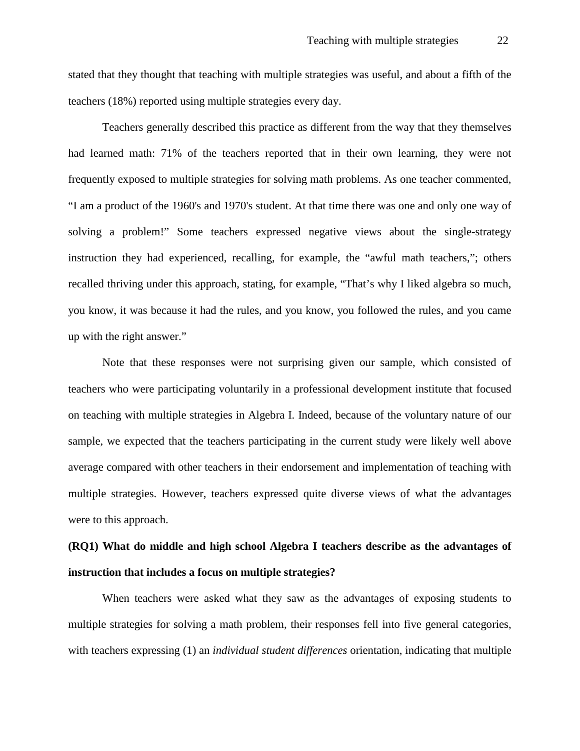stated that they thought that teaching with multiple strategies was useful, and about a fifth of the teachers (18%) reported using multiple strategies every day.

Teachers generally described this practice as different from the way that they themselves had learned math: 71% of the teachers reported that in their own learning, they were not frequently exposed to multiple strategies for solving math problems. As one teacher commented, "I am a product of the 1960's and 1970's student. At that time there was one and only one way of solving a problem!" Some teachers expressed negative views about the single-strategy instruction they had experienced, recalling, for example, the "awful math teachers,"; others recalled thriving under this approach, stating, for example, "That's why I liked algebra so much, you know, it was because it had the rules, and you know, you followed the rules, and you came up with the right answer."

Note that these responses were not surprising given our sample, which consisted of teachers who were participating voluntarily in a professional development institute that focused on teaching with multiple strategies in Algebra I. Indeed, because of the voluntary nature of our sample, we expected that the teachers participating in the current study were likely well above average compared with other teachers in their endorsement and implementation of teaching with multiple strategies. However, teachers expressed quite diverse views of what the advantages were to this approach.

# **(RQ1) What do middle and high school Algebra I teachers describe as the advantages of instruction that includes a focus on multiple strategies?**

When teachers were asked what they saw as the advantages of exposing students to multiple strategies for solving a math problem, their responses fell into five general categories, with teachers expressing (1) an *individual student differences* orientation, indicating that multiple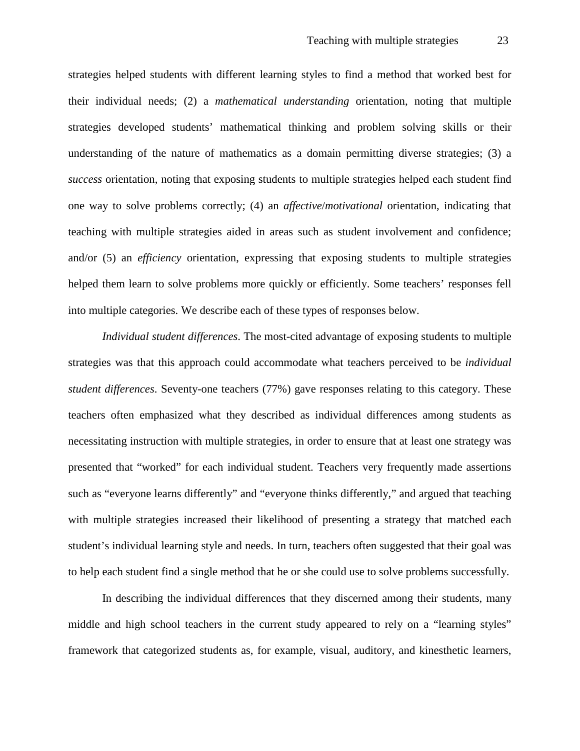strategies helped students with different learning styles to find a method that worked best for their individual needs; (2) a *mathematical understanding* orientation, noting that multiple strategies developed students' mathematical thinking and problem solving skills or their understanding of the nature of mathematics as a domain permitting diverse strategies; (3) a *success* orientation, noting that exposing students to multiple strategies helped each student find one way to solve problems correctly; (4) an *affective*/*motivational* orientation, indicating that teaching with multiple strategies aided in areas such as student involvement and confidence; and/or (5) an *efficiency* orientation, expressing that exposing students to multiple strategies helped them learn to solve problems more quickly or efficiently. Some teachers' responses fell into multiple categories. We describe each of these types of responses below.

*Individual student differences*. The most-cited advantage of exposing students to multiple strategies was that this approach could accommodate what teachers perceived to be *individual student differences*. Seventy-one teachers (77%) gave responses relating to this category. These teachers often emphasized what they described as individual differences among students as necessitating instruction with multiple strategies, in order to ensure that at least one strategy was presented that "worked" for each individual student. Teachers very frequently made assertions such as "everyone learns differently" and "everyone thinks differently," and argued that teaching with multiple strategies increased their likelihood of presenting a strategy that matched each student's individual learning style and needs. In turn, teachers often suggested that their goal was to help each student find a single method that he or she could use to solve problems successfully.

In describing the individual differences that they discerned among their students, many middle and high school teachers in the current study appeared to rely on a "learning styles" framework that categorized students as, for example, visual, auditory, and kinesthetic learners,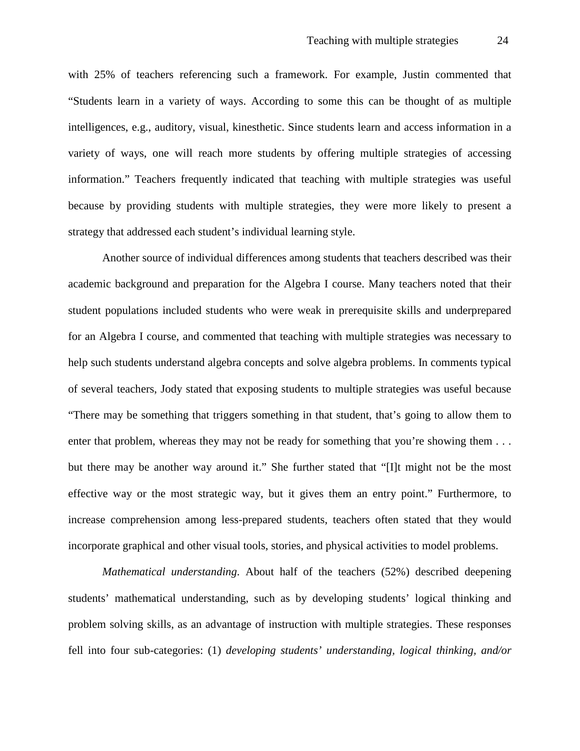with 25% of teachers referencing such a framework. For example, Justin commented that "Students learn in a variety of ways. According to some this can be thought of as multiple intelligences, e.g., auditory, visual, kinesthetic. Since students learn and access information in a variety of ways, one will reach more students by offering multiple strategies of accessing information." Teachers frequently indicated that teaching with multiple strategies was useful because by providing students with multiple strategies, they were more likely to present a strategy that addressed each student's individual learning style.

Another source of individual differences among students that teachers described was their academic background and preparation for the Algebra I course. Many teachers noted that their student populations included students who were weak in prerequisite skills and underprepared for an Algebra I course, and commented that teaching with multiple strategies was necessary to help such students understand algebra concepts and solve algebra problems. In comments typical of several teachers, Jody stated that exposing students to multiple strategies was useful because "There may be something that triggers something in that student, that's going to allow them to enter that problem, whereas they may not be ready for something that you're showing them . . . but there may be another way around it." She further stated that "[I]t might not be the most effective way or the most strategic way, but it gives them an entry point." Furthermore, to increase comprehension among less-prepared students, teachers often stated that they would incorporate graphical and other visual tools, stories, and physical activities to model problems.

*Mathematical understanding*. About half of the teachers (52%) described deepening students' mathematical understanding, such as by developing students' logical thinking and problem solving skills, as an advantage of instruction with multiple strategies. These responses fell into four sub-categories: (1) *developing students' understanding, logical thinking, and/or*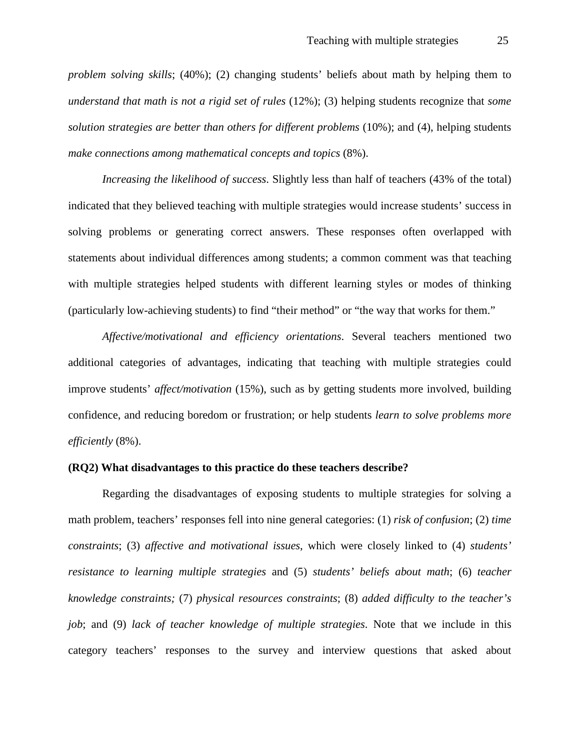*problem solving skills*; (40%); (2) changing students' beliefs about math by helping them to *understand that math is not a rigid set of rules* (12%); (3) helping students recognize that *some solution strategies are better than others for different problems* (10%); and (4), helping students *make connections among mathematical concepts and topics* (8%).

*Increasing the likelihood of success*. Slightly less than half of teachers (43% of the total) indicated that they believed teaching with multiple strategies would increase students' success in solving problems or generating correct answers. These responses often overlapped with statements about individual differences among students; a common comment was that teaching with multiple strategies helped students with different learning styles or modes of thinking (particularly low-achieving students) to find "their method" or "the way that works for them."

*Affective/motivational and efficiency orientations*. Several teachers mentioned two additional categories of advantages, indicating that teaching with multiple strategies could improve students' *affect/motivation* (15%), such as by getting students more involved, building confidence, and reducing boredom or frustration; or help students *learn to solve problems more efficiently* (8%).

#### **(RQ2) What disadvantages to this practice do these teachers describe?**

Regarding the disadvantages of exposing students to multiple strategies for solving a math problem, teachers' responses fell into nine general categories: (1) *risk of confusion*; (2) *time constraints*; (3) *affective and motivational issues*, which were closely linked to (4) *students' resistance to learning multiple strategies* and (5) *students' beliefs about math*; (6) *teacher knowledge constraints;* (7) *physical resources constraints*; (8) *added difficulty to the teacher's job*; and (9) *lack of teacher knowledge of multiple strategies*. Note that we include in this category teachers' responses to the survey and interview questions that asked about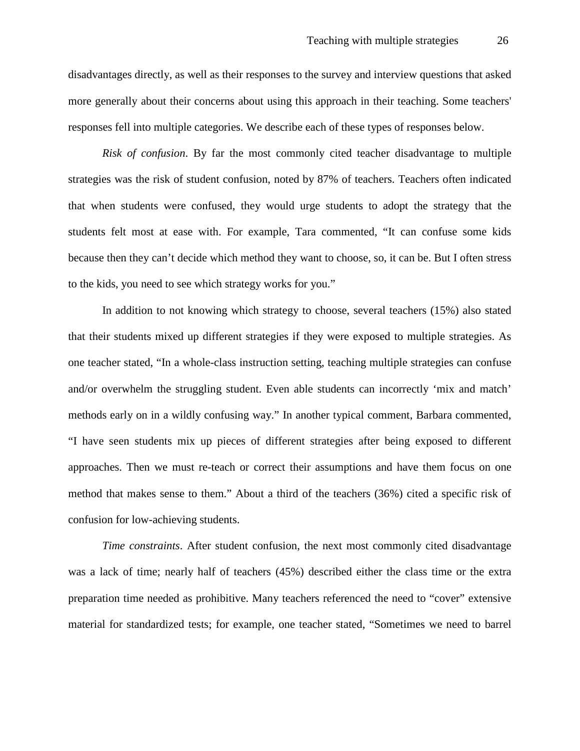disadvantages directly, as well as their responses to the survey and interview questions that asked more generally about their concerns about using this approach in their teaching. Some teachers' responses fell into multiple categories. We describe each of these types of responses below.

*Risk of confusion*. By far the most commonly cited teacher disadvantage to multiple strategies was the risk of student confusion, noted by 87% of teachers. Teachers often indicated that when students were confused, they would urge students to adopt the strategy that the students felt most at ease with. For example, Tara commented, "It can confuse some kids because then they can't decide which method they want to choose, so, it can be. But I often stress to the kids, you need to see which strategy works for you."

In addition to not knowing which strategy to choose, several teachers (15%) also stated that their students mixed up different strategies if they were exposed to multiple strategies. As one teacher stated, "In a whole-class instruction setting, teaching multiple strategies can confuse and/or overwhelm the struggling student. Even able students can incorrectly 'mix and match' methods early on in a wildly confusing way." In another typical comment, Barbara commented, "I have seen students mix up pieces of different strategies after being exposed to different approaches. Then we must re-teach or correct their assumptions and have them focus on one method that makes sense to them." About a third of the teachers (36%) cited a specific risk of confusion for low-achieving students.

*Time constraints*. After student confusion, the next most commonly cited disadvantage was a lack of time; nearly half of teachers (45%) described either the class time or the extra preparation time needed as prohibitive. Many teachers referenced the need to "cover" extensive material for standardized tests; for example, one teacher stated, "Sometimes we need to barrel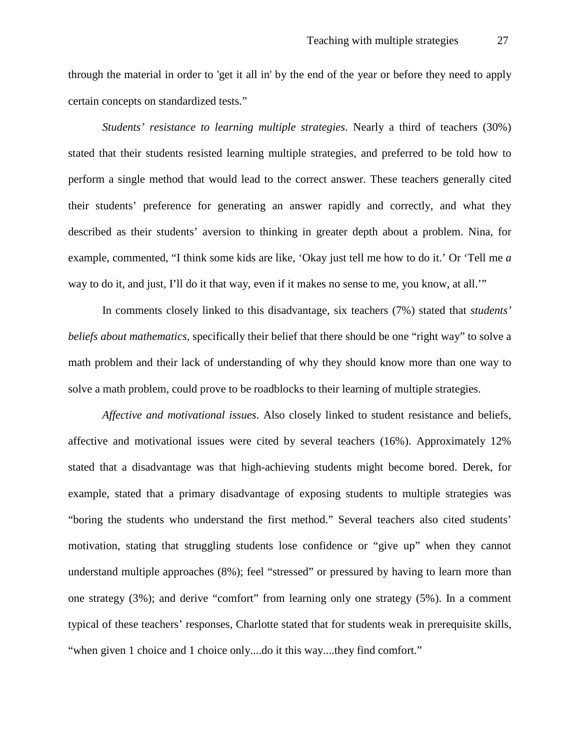through the material in order to 'get it all in' by the end of the year or before they need to apply certain concepts on standardized tests."

*Students' resistance to learning multiple strategies*. Nearly a third of teachers (30%) stated that their students resisted learning multiple strategies, and preferred to be told how to perform a single method that would lead to the correct answer. These teachers generally cited their students' preference for generating an answer rapidly and correctly, and what they described as their students' aversion to thinking in greater depth about a problem. Nina, for example, commented, "I think some kids are like, 'Okay just tell me how to do it.' Or 'Tell me *a*  way to do it, and just, I'll do it that way, even if it makes no sense to me, you know, at all."

In comments closely linked to this disadvantage, six teachers (7%) stated that *students' beliefs about mathematics,* specifically their belief that there should be one "right way" to solve a math problem and their lack of understanding of why they should know more than one way to solve a math problem, could prove to be roadblocks to their learning of multiple strategies.

*Affective and motivational issues*. Also closely linked to student resistance and beliefs, affective and motivational issues were cited by several teachers (16%). Approximately 12% stated that a disadvantage was that high-achieving students might become bored. Derek, for example, stated that a primary disadvantage of exposing students to multiple strategies was "boring the students who understand the first method." Several teachers also cited students' motivation, stating that struggling students lose confidence or "give up" when they cannot understand multiple approaches (8%); feel "stressed" or pressured by having to learn more than one strategy (3%); and derive "comfort" from learning only one strategy (5%). In a comment typical of these teachers' responses, Charlotte stated that for students weak in prerequisite skills, "when given 1 choice and 1 choice only....do it this way....they find comfort."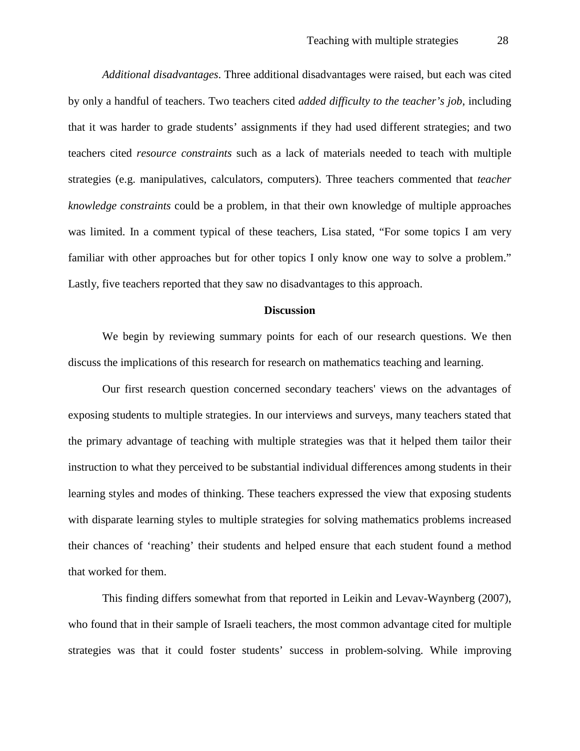*Additional disadvantages*. Three additional disadvantages were raised, but each was cited by only a handful of teachers. Two teachers cited *added difficulty to the teacher's job*, including that it was harder to grade students' assignments if they had used different strategies; and two teachers cited *resource constraints* such as a lack of materials needed to teach with multiple strategies (e.g. manipulatives, calculators, computers). Three teachers commented that *teacher knowledge constraints* could be a problem, in that their own knowledge of multiple approaches was limited. In a comment typical of these teachers, Lisa stated, "For some topics I am very familiar with other approaches but for other topics I only know one way to solve a problem." Lastly, five teachers reported that they saw no disadvantages to this approach.

#### **Discussion**

We begin by reviewing summary points for each of our research questions. We then discuss the implications of this research for research on mathematics teaching and learning.

Our first research question concerned secondary teachers' views on the advantages of exposing students to multiple strategies. In our interviews and surveys, many teachers stated that the primary advantage of teaching with multiple strategies was that it helped them tailor their instruction to what they perceived to be substantial individual differences among students in their learning styles and modes of thinking. These teachers expressed the view that exposing students with disparate learning styles to multiple strategies for solving mathematics problems increased their chances of 'reaching' their students and helped ensure that each student found a method that worked for them.

This finding differs somewhat from that reported in Leikin and Levav-Waynberg (2007), who found that in their sample of Israeli teachers, the most common advantage cited for multiple strategies was that it could foster students' success in problem-solving. While improving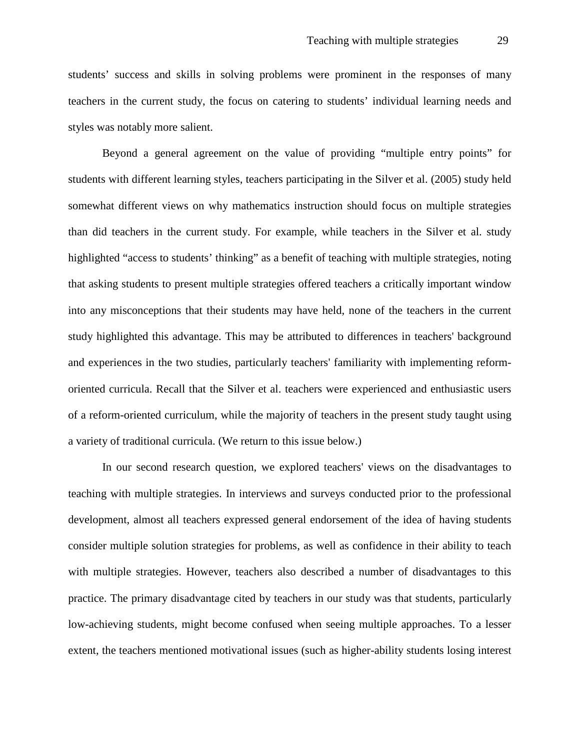students' success and skills in solving problems were prominent in the responses of many teachers in the current study, the focus on catering to students' individual learning needs and styles was notably more salient.

Beyond a general agreement on the value of providing "multiple entry points" for students with different learning styles, teachers participating in the Silver et al. (2005) study held somewhat different views on why mathematics instruction should focus on multiple strategies than did teachers in the current study. For example, while teachers in the Silver et al. study highlighted "access to students' thinking" as a benefit of teaching with multiple strategies, noting that asking students to present multiple strategies offered teachers a critically important window into any misconceptions that their students may have held, none of the teachers in the current study highlighted this advantage. This may be attributed to differences in teachers' background and experiences in the two studies, particularly teachers' familiarity with implementing reformoriented curricula. Recall that the Silver et al. teachers were experienced and enthusiastic users of a reform-oriented curriculum, while the majority of teachers in the present study taught using a variety of traditional curricula. (We return to this issue below.)

In our second research question, we explored teachers' views on the disadvantages to teaching with multiple strategies. In interviews and surveys conducted prior to the professional development, almost all teachers expressed general endorsement of the idea of having students consider multiple solution strategies for problems, as well as confidence in their ability to teach with multiple strategies. However, teachers also described a number of disadvantages to this practice. The primary disadvantage cited by teachers in our study was that students, particularly low-achieving students, might become confused when seeing multiple approaches. To a lesser extent, the teachers mentioned motivational issues (such as higher-ability students losing interest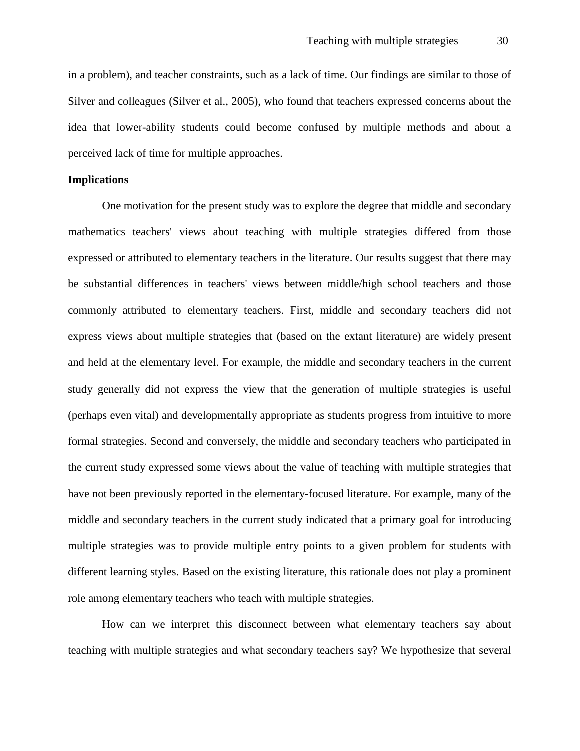in a problem), and teacher constraints, such as a lack of time. Our findings are similar to those of Silver and colleagues (Silver et al., 2005), who found that teachers expressed concerns about the idea that lower-ability students could become confused by multiple methods and about a perceived lack of time for multiple approaches.

#### **Implications**

One motivation for the present study was to explore the degree that middle and secondary mathematics teachers' views about teaching with multiple strategies differed from those expressed or attributed to elementary teachers in the literature. Our results suggest that there may be substantial differences in teachers' views between middle/high school teachers and those commonly attributed to elementary teachers. First, middle and secondary teachers did not express views about multiple strategies that (based on the extant literature) are widely present and held at the elementary level. For example, the middle and secondary teachers in the current study generally did not express the view that the generation of multiple strategies is useful (perhaps even vital) and developmentally appropriate as students progress from intuitive to more formal strategies. Second and conversely, the middle and secondary teachers who participated in the current study expressed some views about the value of teaching with multiple strategies that have not been previously reported in the elementary-focused literature. For example, many of the middle and secondary teachers in the current study indicated that a primary goal for introducing multiple strategies was to provide multiple entry points to a given problem for students with different learning styles. Based on the existing literature, this rationale does not play a prominent role among elementary teachers who teach with multiple strategies.

How can we interpret this disconnect between what elementary teachers say about teaching with multiple strategies and what secondary teachers say? We hypothesize that several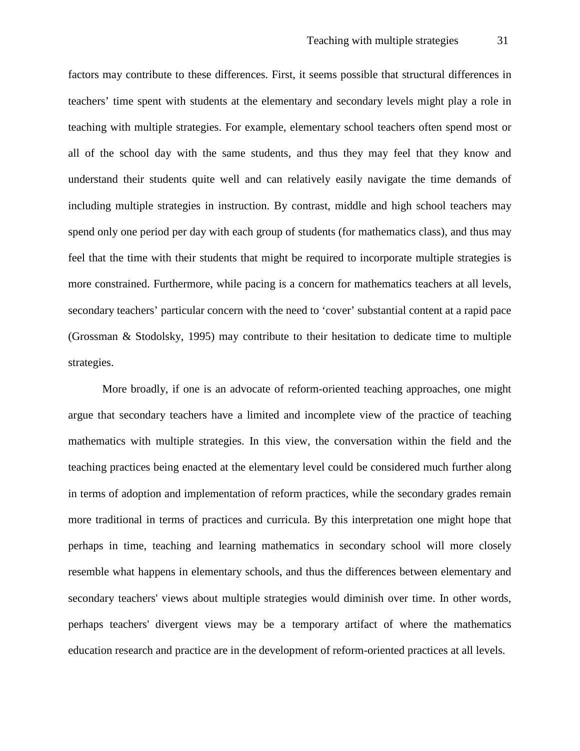factors may contribute to these differences. First, it seems possible that structural differences in teachers' time spent with students at the elementary and secondary levels might play a role in teaching with multiple strategies. For example, elementary school teachers often spend most or all of the school day with the same students, and thus they may feel that they know and understand their students quite well and can relatively easily navigate the time demands of including multiple strategies in instruction. By contrast, middle and high school teachers may spend only one period per day with each group of students (for mathematics class), and thus may feel that the time with their students that might be required to incorporate multiple strategies is more constrained. Furthermore, while pacing is a concern for mathematics teachers at all levels, secondary teachers' particular concern with the need to 'cover' substantial content at a rapid pace (Grossman & Stodolsky, 1995) may contribute to their hesitation to dedicate time to multiple strategies.

More broadly, if one is an advocate of reform-oriented teaching approaches, one might argue that secondary teachers have a limited and incomplete view of the practice of teaching mathematics with multiple strategies. In this view, the conversation within the field and the teaching practices being enacted at the elementary level could be considered much further along in terms of adoption and implementation of reform practices, while the secondary grades remain more traditional in terms of practices and curricula. By this interpretation one might hope that perhaps in time, teaching and learning mathematics in secondary school will more closely resemble what happens in elementary schools, and thus the differences between elementary and secondary teachers' views about multiple strategies would diminish over time. In other words, perhaps teachers' divergent views may be a temporary artifact of where the mathematics education research and practice are in the development of reform-oriented practices at all levels.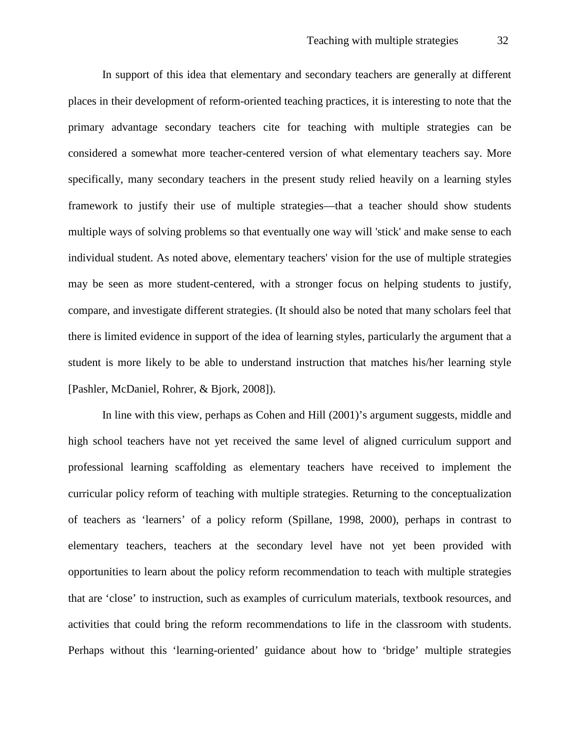In support of this idea that elementary and secondary teachers are generally at different places in their development of reform-oriented teaching practices, it is interesting to note that the primary advantage secondary teachers cite for teaching with multiple strategies can be considered a somewhat more teacher-centered version of what elementary teachers say. More specifically, many secondary teachers in the present study relied heavily on a learning styles framework to justify their use of multiple strategies—that a teacher should show students multiple ways of solving problems so that eventually one way will 'stick' and make sense to each individual student. As noted above, elementary teachers' vision for the use of multiple strategies may be seen as more student-centered, with a stronger focus on helping students to justify, compare, and investigate different strategies. (It should also be noted that many scholars feel that there is limited evidence in support of the idea of learning styles, particularly the argument that a student is more likely to be able to understand instruction that matches his/her learning style [Pashler, McDaniel, Rohrer, & Bjork, 2008]).

In line with this view, perhaps as Cohen and Hill (2001)'s argument suggests, middle and high school teachers have not yet received the same level of aligned curriculum support and professional learning scaffolding as elementary teachers have received to implement the curricular policy reform of teaching with multiple strategies. Returning to the conceptualization of teachers as 'learners' of a policy reform (Spillane, 1998, 2000), perhaps in contrast to elementary teachers, teachers at the secondary level have not yet been provided with opportunities to learn about the policy reform recommendation to teach with multiple strategies that are 'close' to instruction, such as examples of curriculum materials, textbook resources, and activities that could bring the reform recommendations to life in the classroom with students. Perhaps without this 'learning-oriented' guidance about how to 'bridge' multiple strategies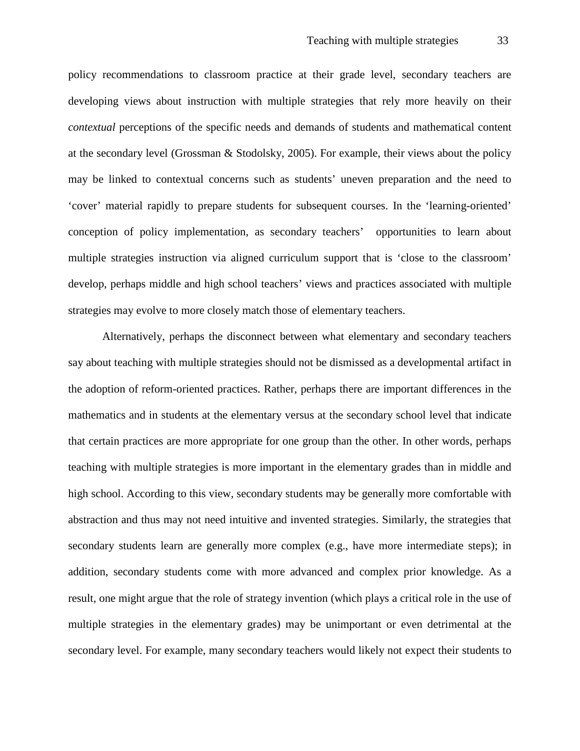policy recommendations to classroom practice at their grade level, secondary teachers are developing views about instruction with multiple strategies that rely more heavily on their *contextual* perceptions of the specific needs and demands of students and mathematical content at the secondary level (Grossman & Stodolsky, 2005). For example, their views about the policy may be linked to contextual concerns such as students' uneven preparation and the need to 'cover' material rapidly to prepare students for subsequent courses. In the 'learning-oriented' conception of policy implementation, as secondary teachers' opportunities to learn about multiple strategies instruction via aligned curriculum support that is 'close to the classroom' develop, perhaps middle and high school teachers' views and practices associated with multiple strategies may evolve to more closely match those of elementary teachers.

Alternatively, perhaps the disconnect between what elementary and secondary teachers say about teaching with multiple strategies should not be dismissed as a developmental artifact in the adoption of reform-oriented practices. Rather, perhaps there are important differences in the mathematics and in students at the elementary versus at the secondary school level that indicate that certain practices are more appropriate for one group than the other. In other words, perhaps teaching with multiple strategies is more important in the elementary grades than in middle and high school. According to this view, secondary students may be generally more comfortable with abstraction and thus may not need intuitive and invented strategies. Similarly, the strategies that secondary students learn are generally more complex (e.g., have more intermediate steps); in addition, secondary students come with more advanced and complex prior knowledge. As a result, one might argue that the role of strategy invention (which plays a critical role in the use of multiple strategies in the elementary grades) may be unimportant or even detrimental at the secondary level. For example, many secondary teachers would likely not expect their students to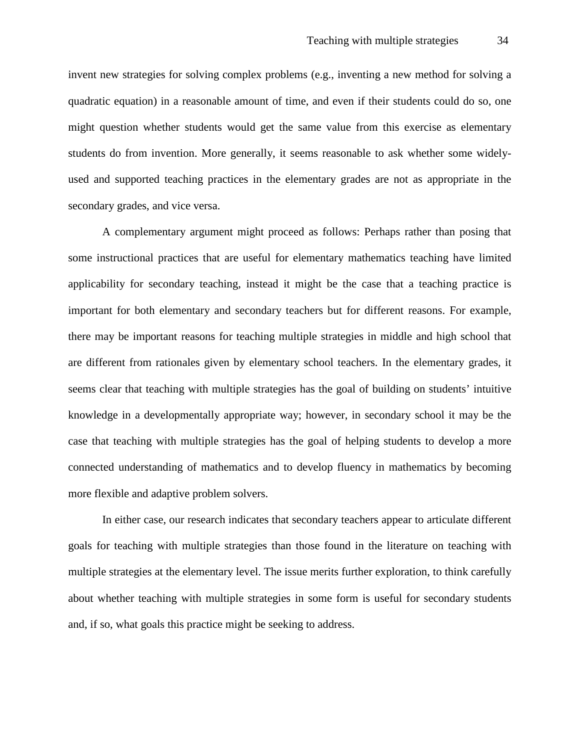invent new strategies for solving complex problems (e.g., inventing a new method for solving a quadratic equation) in a reasonable amount of time, and even if their students could do so, one might question whether students would get the same value from this exercise as elementary students do from invention. More generally, it seems reasonable to ask whether some widelyused and supported teaching practices in the elementary grades are not as appropriate in the secondary grades, and vice versa.

A complementary argument might proceed as follows: Perhaps rather than posing that some instructional practices that are useful for elementary mathematics teaching have limited applicability for secondary teaching, instead it might be the case that a teaching practice is important for both elementary and secondary teachers but for different reasons. For example, there may be important reasons for teaching multiple strategies in middle and high school that are different from rationales given by elementary school teachers. In the elementary grades, it seems clear that teaching with multiple strategies has the goal of building on students' intuitive knowledge in a developmentally appropriate way; however, in secondary school it may be the case that teaching with multiple strategies has the goal of helping students to develop a more connected understanding of mathematics and to develop fluency in mathematics by becoming more flexible and adaptive problem solvers.

In either case, our research indicates that secondary teachers appear to articulate different goals for teaching with multiple strategies than those found in the literature on teaching with multiple strategies at the elementary level. The issue merits further exploration, to think carefully about whether teaching with multiple strategies in some form is useful for secondary students and, if so, what goals this practice might be seeking to address.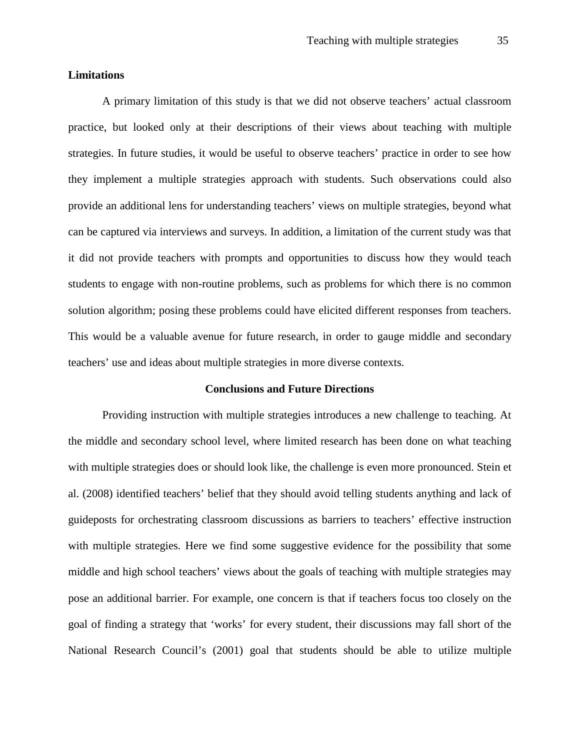#### **Limitations**

A primary limitation of this study is that we did not observe teachers' actual classroom practice, but looked only at their descriptions of their views about teaching with multiple strategies. In future studies, it would be useful to observe teachers' practice in order to see how they implement a multiple strategies approach with students. Such observations could also provide an additional lens for understanding teachers' views on multiple strategies, beyond what can be captured via interviews and surveys. In addition, a limitation of the current study was that it did not provide teachers with prompts and opportunities to discuss how they would teach students to engage with non-routine problems, such as problems for which there is no common solution algorithm; posing these problems could have elicited different responses from teachers. This would be a valuable avenue for future research, in order to gauge middle and secondary teachers' use and ideas about multiple strategies in more diverse contexts.

#### **Conclusions and Future Directions**

Providing instruction with multiple strategies introduces a new challenge to teaching. At the middle and secondary school level, where limited research has been done on what teaching with multiple strategies does or should look like, the challenge is even more pronounced. Stein et al. (2008) identified teachers' belief that they should avoid telling students anything and lack of guideposts for orchestrating classroom discussions as barriers to teachers' effective instruction with multiple strategies. Here we find some suggestive evidence for the possibility that some middle and high school teachers' views about the goals of teaching with multiple strategies may pose an additional barrier. For example, one concern is that if teachers focus too closely on the goal of finding a strategy that 'works' for every student, their discussions may fall short of the National Research Council's (2001) goal that students should be able to utilize multiple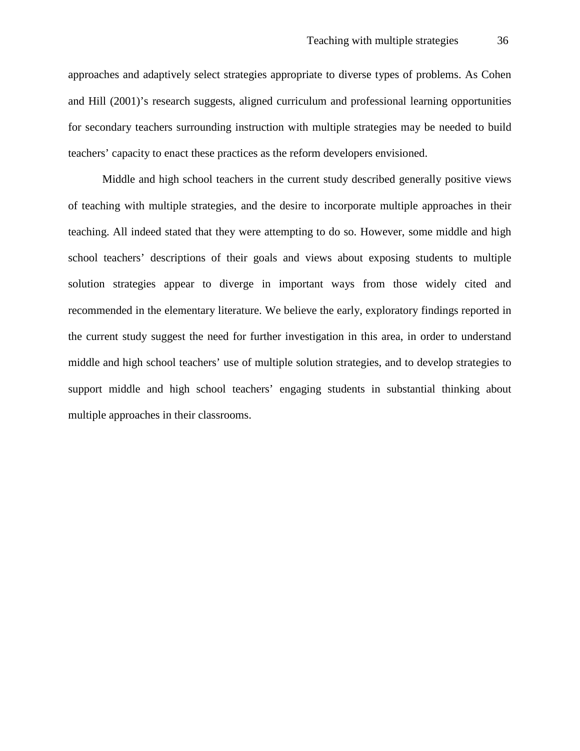approaches and adaptively select strategies appropriate to diverse types of problems. As Cohen and Hill (2001)'s research suggests, aligned curriculum and professional learning opportunities for secondary teachers surrounding instruction with multiple strategies may be needed to build teachers' capacity to enact these practices as the reform developers envisioned.

Middle and high school teachers in the current study described generally positive views of teaching with multiple strategies, and the desire to incorporate multiple approaches in their teaching. All indeed stated that they were attempting to do so. However, some middle and high school teachers' descriptions of their goals and views about exposing students to multiple solution strategies appear to diverge in important ways from those widely cited and recommended in the elementary literature. We believe the early, exploratory findings reported in the current study suggest the need for further investigation in this area, in order to understand middle and high school teachers' use of multiple solution strategies, and to develop strategies to support middle and high school teachers' engaging students in substantial thinking about multiple approaches in their classrooms.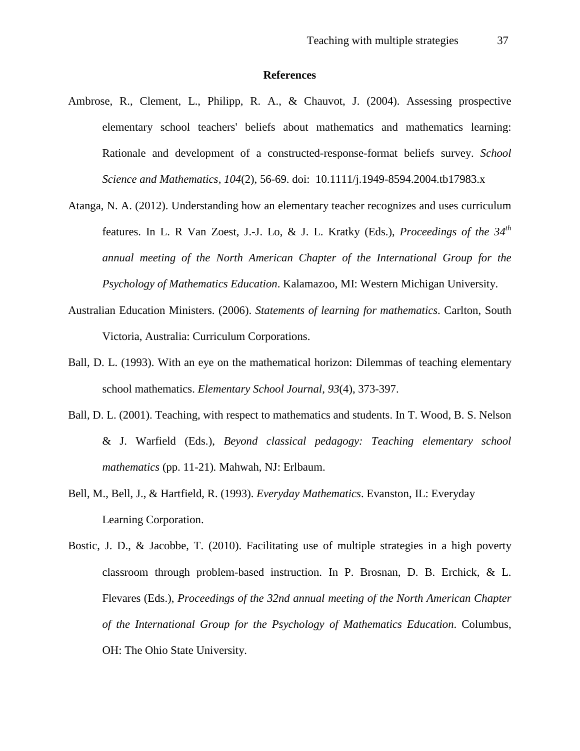#### **References**

- Ambrose, R., Clement, L., Philipp, R. A., & Chauvot, J. (2004). Assessing prospective elementary school teachers' beliefs about mathematics and mathematics learning: Rationale and development of a constructed-response-format beliefs survey. *School Science and Mathematics, 104*(2), 56-69. doi: [10.1111/j](http://sfx.hul.harvard.edu/hvd?__char_set=utf8&id=doi:10.1111/j&sid=libx%3Ahul.harvard&genre=article)[.1949-8594.](http://hollis.harvard.edu/?q=issn%3A%281949-8594%29%20OR%20eissn%3A%281949-8594%29)2004.tb17983.x
- Atanga, N. A. (2012). Understanding how an elementary teacher recognizes and uses curriculum features. In L. R Van Zoest, J.-J. Lo, & J. L. Kratky (Eds.), *Proceedings of the 34th annual meeting of the North American Chapter of the International Group for the Psychology of Mathematics Education*. Kalamazoo, MI: Western Michigan University.
- Australian Education Ministers. (2006). *Statements of learning for mathematics*. Carlton, South Victoria, Australia: Curriculum Corporations.
- Ball, D. L. (1993). With an eye on the mathematical horizon: Dilemmas of teaching elementary school mathematics. *Elementary School Journal, 93*(4), 373-397.
- Ball, D. L. (2001). Teaching, with respect to mathematics and students. In T. Wood, B. S. Nelson & J. Warfield (Eds.), *Beyond classical pedagogy: Teaching elementary school mathematics* (pp. 11*-*21)*.* Mahwah, NJ: Erlbaum.
- Bell, M., Bell, J., & Hartfield, R. (1993). *Everyday Mathematics*. Evanston, IL: Everyday Learning Corporation.
- Bostic, J. D., & Jacobbe, T. (2010). Facilitating use of multiple strategies in a high poverty classroom through problem-based instruction. In P. Brosnan, D. B. Erchick, & L. Flevares (Eds.), *Proceedings of the 32nd annual meeting of the North American Chapter of the International Group for the Psychology of Mathematics Education*. Columbus, OH: The Ohio State University.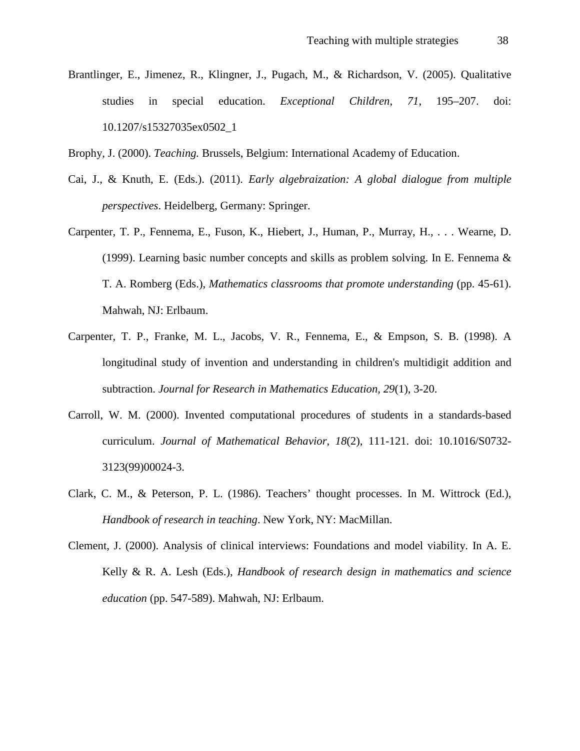- Brantlinger, E., Jimenez, R., Klingner, J., Pugach, M., & Richardson, V. (2005). Qualitative studies in special education. *Exceptional Children*, *71*, 195–207. doi: 10.1207/s15327035ex0502\_1
- Brophy, J. (2000). *Teaching.* Brussels, Belgium: International Academy of Education.
- Cai, J., & Knuth, E. (Eds.). (2011). *Early algebraization: A global dialogue from multiple perspectives*. Heidelberg, Germany: Springer.
- Carpenter, T. P., Fennema, E., Fuson, K., Hiebert, J., Human, P., Murray, H., . . . Wearne, D. (1999). Learning basic number concepts and skills as problem solving. In E. Fennema & T. A. Romberg (Eds.), *Mathematics classrooms that promote understanding* (pp. 45-61). Mahwah, NJ: Erlbaum.
- Carpenter, T. P., Franke, M. L., Jacobs, V. R., Fennema, E., & Empson, S. B. (1998). A longitudinal study of invention and understanding in children's multidigit addition and subtraction. *Journal for Research in Mathematics Education, 29*(1), 3-20.
- Carroll, W. M. (2000). Invented computational procedures of students in a standards-based curriculum. *Journal of Mathematical Behavior*, *18*(2), 111-121. [doi: 10.1016/S0732-](http://dx.doi.org/10.1016/S0732-3123%2899%2900024-3) [3123\(99\)00024-3.](http://dx.doi.org/10.1016/S0732-3123%2899%2900024-3)
- Clark, C. M., & Peterson, P. L. (1986). Teachers' thought processes. In M. Wittrock (Ed.), *Handbook of research in teaching*. New York, NY: MacMillan.
- Clement, J. (2000). Analysis of clinical interviews: Foundations and model viability. In A. E. Kelly & R. A. Lesh (Eds.), *Handbook of research design in mathematics and science education* (pp. 547-589). Mahwah, NJ: Erlbaum.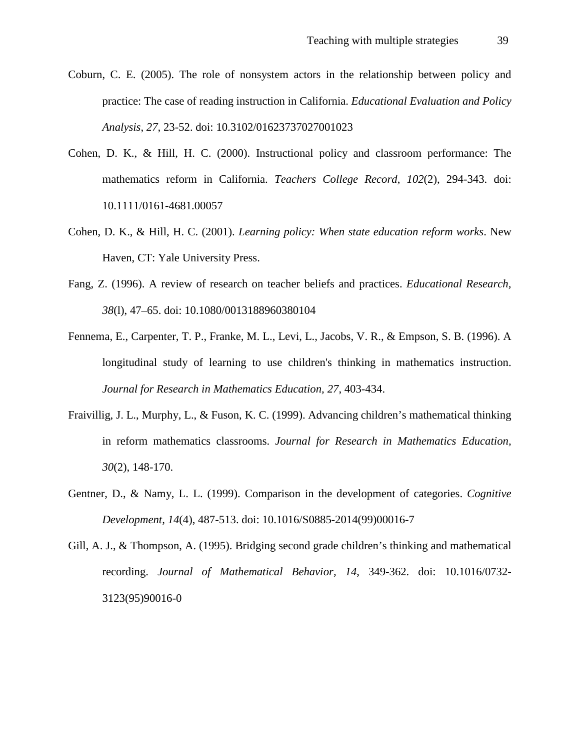- Coburn, C. E. (2005). The role of nonsystem actors in the relationship between policy and practice: The case of reading instruction in California. *Educational Evaluation and Policy Analysis*, *27,* 23-52. doi: 10.3102/01623737027001023
- Cohen, D. K., & Hill, H. C. (2000). [Instructional policy and classroom performance: The](http://www-personal.umich.edu/~dkcohen/cohen_hill_2000_TCR.pdf)  [mathematics reform in California.](http://www-personal.umich.edu/~dkcohen/cohen_hill_2000_TCR.pdf) *Teachers College Record*, *102*(2), 294-343. doi: [10.1111/0161-4681.00057](http://dx.doi.org/10.1111/0161-4681.00057)
- Cohen, D. K., & Hill, H. C. (2001). *Learning policy: When state education reform works*. New Haven, CT: Yale University Press.
- Fang, Z. (1996). A review of research on teacher beliefs and practices. *Educational Research, 38*(l), 47–65. doi: [10.1080/0013188960380104](http://sfx.hul.harvard.edu/hvd?__char_set=utf8&id=doi:10.1080/0013188960380104&sid=libx%3Ahul.harvard&genre=article)
- Fennema, E., Carpenter, T. P., Franke, M. L., Levi, L., Jacobs, V. R., & Empson, S. B. (1996). A longitudinal study of learning to use children's thinking in mathematics instruction. *Journal for Research in Mathematics Education, 27*, 403-434.
- Fraivillig, J. L., Murphy, L., & Fuson, K. C. (1999). Advancing children's mathematical thinking in reform mathematics classrooms. *Journal for Research in Mathematics Education, 30*(2), 148-170.
- Gentner, D., & Namy, L. L. (1999). Comparison in the development of categories. *Cognitive Development, 14*(4), 487-513. doi: [10.1016/S0885-2014\(99\)00016-7](http://dx.doi.org/10.1016/S0885-2014%2899%2900016-7)
- Gill, A. J., & Thompson, A. (1995). Bridging second grade children's thinking and mathematical recording. *Journal of Mathematical Behavior, 14*, 349-362. doi: 10.1016/0732- 3123(95)90016-0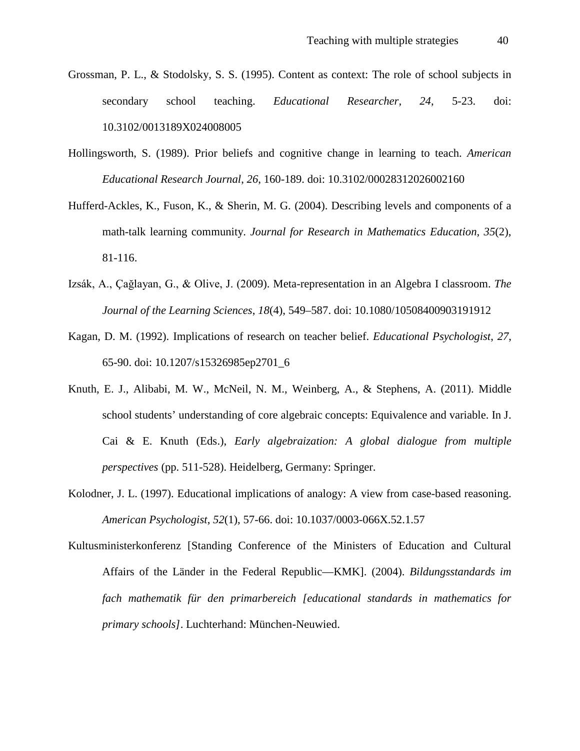- Grossman, P. L., & Stodolsky, S. S. (1995). Content as context: The role of school subjects in secondary school teaching. *Educational Researcher, 24*, 5-23. doi: 10.3102/0013189X024008005
- Hollingsworth, S. (1989). Prior beliefs and cognitive change in learning to teach. *American Educational Research Journal*, *26*, 160-189. doi: [10.3102/00028312026002160](http://sfx.hul.harvard.edu/hvd?__char_set=utf8&id=doi:10.3102/00028312026002160&sid=libx%3Ahul.harvard&genre=article)
- Hufferd-Ackles, K., Fuson, K., & Sherin, M. G. (2004). Describing levels and components of a math-talk learning community. *Journal for Research in Mathematics Education, 35*(2), 81-116.
- Izsák, A., Çağlayan, G., & Olive, J. (2009). Meta-representation in an Algebra I classroom. *The Journal of the Learning Sciences*, *18*(4), 549–587. doi: [10.1080/10508400903191912](http://sfx.hul.harvard.edu/hvd?__char_set=utf8&id=doi:10.1080/10508400903191912&sid=libx%3Ahul.harvard&genre=article)
- Kagan, D. M. (1992). Implications of research on teacher belief. *Educational Psychologist*, *27*, 65-90. doi: [10.1207/s15326985ep2701\\_6](http://sfx.hul.harvard.edu/hvd?__char_set=utf8&id=doi:10.1207/s15326985ep2701_6&sid=libx%3Ahul.harvard&genre=article)
- Knuth, E. J., Alibabi, M. W., McNeil, N. M., Weinberg, A., & Stephens, A. (2011). Middle school students' understanding of core algebraic concepts: Equivalence and variable. In J. Cai & E. Knuth (Eds.), *Early algebraization: A global dialogue from multiple perspectives* (pp. 511-528). Heidelberg, Germany: Springer.
- Kolodner, J. L. (1997). Educational implications of analogy: A view from case-based reasoning. *American Psychologist*, *52*(1), 57-66. doi: [10.1037/0003-066X.52.1.57](http://psycnet.apa.org/doi/10.1037/0003-066X.52.1.57)
- Kultusministerkonferenz [Standing Conference of the Ministers of Education and Cultural Affairs of the [Län](http://german.about.com/library/media/Audio/ae.wav)der in the Federal Republic—KMK]. (2004). *Bildungsstandards im fach mathematik für den primarbereich [educational standards in mathematics for primary schools]*. Luchterhand: München-Neuwied.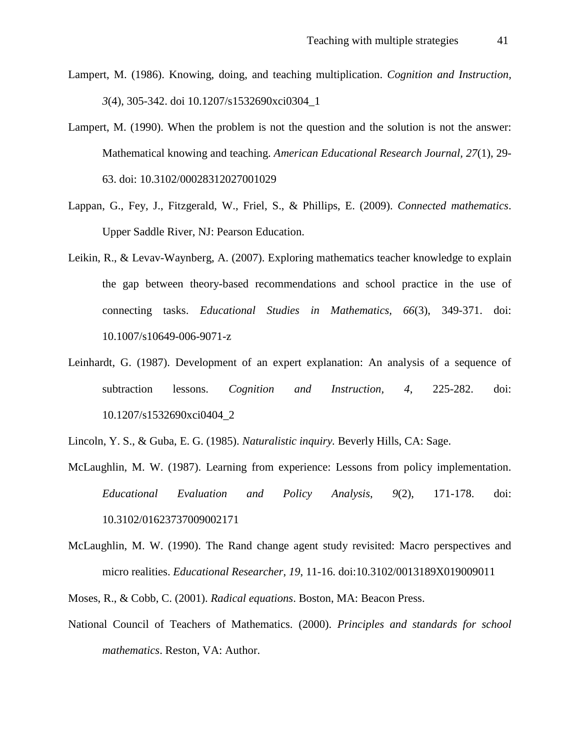- Lampert, M. (1986). Knowing, doing, and teaching multiplication. *Cognition and Instruction, 3*(4), 305-342. doi [10.1207/s1532690xci0304\\_1](http://sfx.hul.harvard.edu/hvd?__char_set=utf8&id=doi:10.1207/s1532690xci0304_1&sid=libx%3Ahul.harvard&genre=article)
- Lampert, M. (1990). When the problem is not the question and the solution is not the answer: Mathematical knowing and teaching. *American Educational Research Journal, 27*(1), 29- 63. doi: [10.3102/00028312027001029](http://sfx.hul.harvard.edu/hvd?__char_set=utf8&id=doi:10.3102/00028312027001029&sid=libx%3Ahul.harvard&genre=article)
- Lappan, G., Fey, J., Fitzgerald, W., Friel, S., & Phillips, E. (2009). *Connected mathematics*. Upper Saddle River, NJ: Pearson Education.
- Leikin, R., & Levav-Waynberg, A. (2007). Exploring mathematics teacher knowledge to explain the gap between theory-based recommendations and school practice in the use of connecting tasks. *Educational Studies in Mathematics, 66*(3), 349-371. doi: 10.1007/s10649-006-9071-z
- Leinhardt, G. (1987). Development of an expert explanation: An analysis of a sequence of subtraction lessons. *Cognition and Instruction, 4*, 225-282. doi: [10.1207/s1532690xci0404\\_2](http://sfx.hul.harvard.edu/hvd?__char_set=utf8&id=doi:10.1207/s1532690xci0404_2&sid=libx%3Ahul.harvard&genre=article)
- Lincoln, Y. S., & Guba, E. G. (1985). *Naturalistic inquiry.* Beverly Hills, CA: Sage.
- McLaughlin, M. W. (1987). Learning from experience: Lessons from policy implementation. *Educational Evaluation and Policy Analysis*, *9*(2), 171-178. doi: [10.3102/01623737009002171](http://sfx.hul.harvard.edu/hvd?__char_set=utf8&id=doi:10.3102/01623737009002171&sid=libx%3Ahul.harvard&genre=article)
- McLaughlin, M. W. (1990). The Rand change agent study revisited: Macro perspectives and micro realities. *Educational Researcher*, *19*, 11-16. doi:10.3102/0013189X019009011
- Moses, R., & Cobb, C. (2001). *Radical equations*. Boston, MA: Beacon Press.
- National Council of Teachers of Mathematics. (2000). *Principles and standards for school mathematics*. Reston, VA: Author.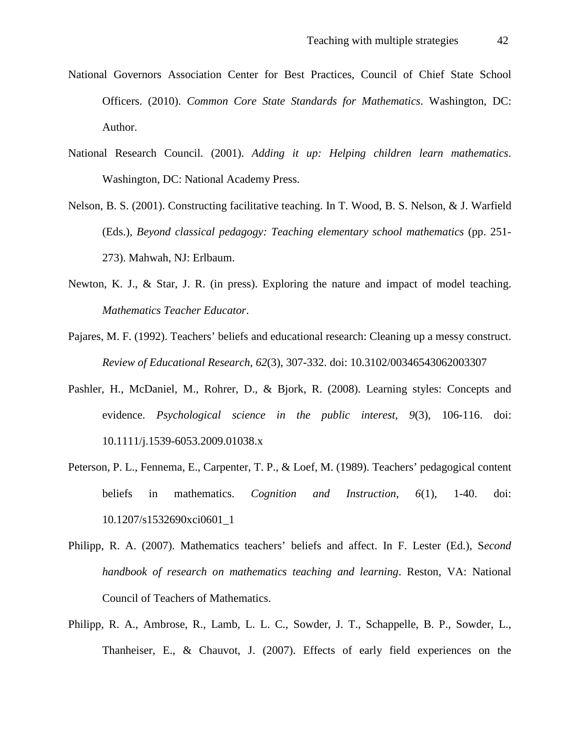- National Governors Association Center for Best Practices, Council of Chief State School Officers. (2010). *Common Core State Standards for Mathematics*. Washington, DC: Author.
- National Research Council. (2001). *Adding it up: Helping children learn mathematics*. Washington, DC: National Academy Press.
- Nelson, B. S. (2001). Constructing facilitative teaching. In T. Wood, B. S. Nelson, & J. Warfield (Eds.), *Beyond classical pedagogy: Teaching elementary school mathematics* (pp. 251- 273). Mahwah, NJ: Erlbaum.
- Newton, K. J., & Star, J. R. (in press). Exploring the nature and impact of model teaching. *Mathematics Teacher Educator*.
- Pajares, M. F. (1992). Teachers' beliefs and educational research: Cleaning up a messy construct. *Review of Educational Research*, *62*(3), 307-332. doi: 10.3102/00346543062003307
- Pashler, H., McDaniel, M., Rohrer, D., & Bjork, R. (2008). Learning styles: Concepts and evidence. *Psychological science in the public interest, 9*(3), 106-116. doi: [10.1111/j](http://sfx.hul.harvard.edu/hvd?__char_set=utf8&id=doi:10.1111/j&sid=libx%3Ahul.harvard&genre=article)[.1539-6053.](http://hollis.harvard.edu/?q=issn%3A%281539-6053%29%20OR%20eissn%3A%281539-6053%29)2009.01038.x
- Peterson, P. L., Fennema, E., Carpenter, T. P., & Loef, M. (1989). Teachers' pedagogical content beliefs in mathematics. *Cognition and Instruction*, *6*(1), 1-40. doi: 10.1207/s1532690xci0601\_1
- Philipp, R. A. (2007). Mathematics teachers' beliefs and affect. In F. Lester (Ed.), S*econd handbook of research on mathematics teaching and learning*. Reston, VA: National Council of Teachers of Mathematics.
- Philipp, R. A., Ambrose, R., Lamb, L. L. C., Sowder, J. T., Schappelle, B. P., Sowder, L., Thanheiser, E., & Chauvot, J. (2007). Effects of early field experiences on the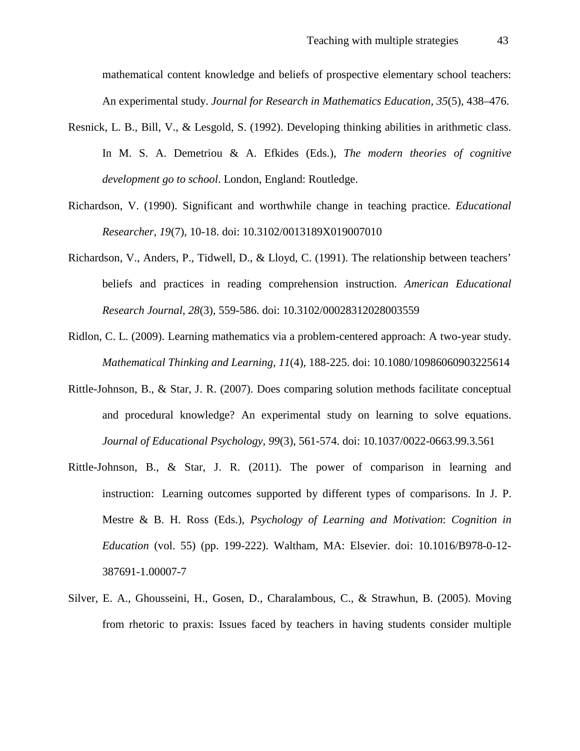mathematical content knowledge and beliefs of prospective elementary school teachers: An experimental study. *Journal for Research in Mathematics Education, 35*(5), 438–476.

- Resnick, L. B., Bill, V., & Lesgold, S. (1992). Developing thinking abilities in arithmetic class. In M. S. A. Demetriou & A. Efkides (Eds.), *The modern theories of cognitive development go to school*. London, England: Routledge.
- Richardson, V. (1990). Significant and worthwhile change in teaching practice. *Educational Researcher*, *19*(7), 10-18. doi: 10.3102/0013189X019007010
- Richardson, V., Anders, P., Tidwell, D., & Lloyd, C. (1991). The relationship between teachers' beliefs and practices in reading comprehension instruction. *American Educational Research Journal*, *28*(3), 559-586. doi: 10.3102/00028312028003559
- Ridlon, C. L. (2009). Learning mathematics via a problem-centered approach: A two-year study. *Mathematical Thinking and Learning*, *11*(4), 188-225. doi: 10.1080/10986060903225614
- Rittle-Johnson, B., & Star, J. R. (2007). Does comparing solution methods facilitate conceptual and procedural knowledge? An experimental study on learning to solve equations. *Journal of Educational Psychology, 99*(3), 561-574. doi: [10.1037/0022-0663.99.3.561](http://psycnet.apa.org/doi/10.1037/0022-0663.99.3.561)
- Rittle-Johnson, B., & Star, J. R. (2011). The power of comparison in learning and instruction: Learning outcomes supported by different types of comparisons. In J. P. Mestre & B. H. Ross (Eds.), *Psychology of Learning and Motivation*: *Cognition in Education* (vol. 55) (pp. 199-222). Waltham, MA: Elsevier. doi: 10.1016/B978-0-12- 387691-1.00007-7
- Silver, E. A., Ghousseini, H., Gosen, D., Charalambous, C., & Strawhun, B. (2005). Moving from rhetoric to praxis: Issues faced by teachers in having students consider multiple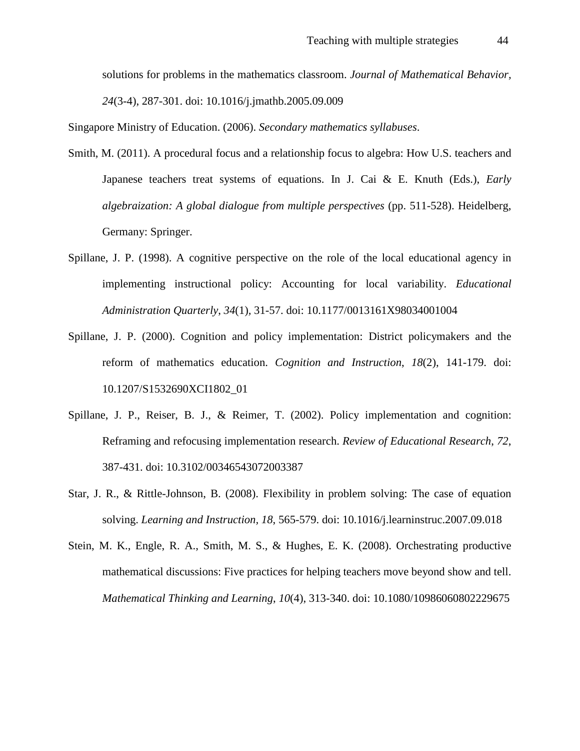solutions for problems in the mathematics classroom. *Journal of Mathematical Behavior, 24*(3-4), 287-301. doi: 10.1016/j.jmathb.2005.09.009

Singapore Ministry of Education. (2006). *Secondary mathematics syllabuses*.

- Smith, M. (2011). A procedural focus and a relationship focus to algebra: How U.S. teachers and Japanese teachers treat systems of equations. In J. Cai & E. Knuth (Eds.), *Early algebraization: A global dialogue from multiple perspectives* (pp. 511-528). Heidelberg, Germany: Springer.
- Spillane, J. P. (1998). A cognitive perspective on the role of the local educational agency in implementing instructional policy: Accounting for local variability. *Educational Administration Quarterly*, *34*(1)*,* 31-57. doi: 10.1177/0013161X98034001004
- Spillane, J. P. (2000). Cognition and policy implementation: District policymakers and the reform of mathematics education. *Cognition and Instruction*, *18*(2), 141-179. doi: 10.1207/S1532690XCI1802\_01
- Spillane, J. P., Reiser, B. J., & Reimer, T. (2002). Policy implementation and cognition: Reframing and refocusing implementation research. *Review of Educational Research*, *72*, 387-431. doi: 10.3102/00346543072003387
- Star, J. R., & Rittle-Johnson, B. (2008). Flexibility in problem solving: The case of equation solving. *Learning and Instruction, 18*, 565-579. doi: 10.1016/j.learninstruc.2007.09.018
- Stein, M. K., Engle, R. A., Smith, M. S., & Hughes, E. K. (2008). Orchestrating productive mathematical discussions: Five practices for helping teachers move beyond show and tell. *Mathematical Thinking and Learning*, *10*(4), 313-340. doi: 10.1080/10986060802229675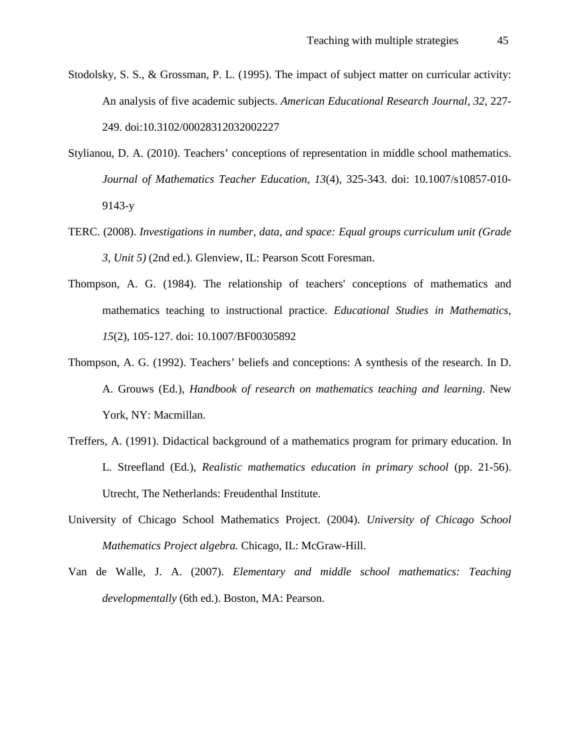- Stodolsky, S. S., & Grossman, P. L. (1995). The impact of subject matter on curricular activity: An analysis of five academic subjects. *American Educational Research Journal, 32*, 227*-* 249. doi:10.3102/00028312032002227
- Stylianou, D. A. (2010). Teachers' conceptions of representation in middle school mathematics. *Journal of Mathematics Teacher Education, 13*(4), 325-343. doi: [10.1007/s10857-010-](http://sfx.hul.harvard.edu/hvd?__char_set=utf8&id=doi:10.1007/s10857-010-9143-y&sid=libx%3Ahul.harvard&genre=article) [9143-y](http://sfx.hul.harvard.edu/hvd?__char_set=utf8&id=doi:10.1007/s10857-010-9143-y&sid=libx%3Ahul.harvard&genre=article)
- TERC. (2008). *Investigations in number, data, and space: Equal groups curriculum unit (Grade 3, Unit 5)* (2nd ed.). Glenview, IL: Pearson Scott Foresman.
- Thompson, A. G. (1984). The relationship of teachers' conceptions of mathematics and mathematics teaching to instructional practice. *Educational Studies in Mathematics*, *15*(2), 105-127. doi: [10.1007/BF00305892](http://sfx.hul.harvard.edu/hvd?__char_set=utf8&id=doi:10.1007/BF00305892&sid=libx%3Ahul.harvard&genre=article)
- Thompson, A. G. (1992). Teachers' beliefs and conceptions: A synthesis of the research. In D. A. Grouws (Ed.), *Handbook of research on mathematics teaching and learning*. New York, NY: Macmillan.
- Treffers, A. (1991). Didactical background of a mathematics program for primary education. In L. Streefland (Ed.), *Realistic mathematics education in primary school* (pp. 21-56). Utrecht, The Netherlands: Freudenthal Institute.
- University of Chicago School Mathematics Project. (2004). *University of Chicago School Mathematics Project algebra.* Chicago, IL: McGraw-Hill.
- Van de Walle, J. A. (2007). *Elementary and middle school mathematics: Teaching developmentally* (6th ed.). Boston, MA: Pearson.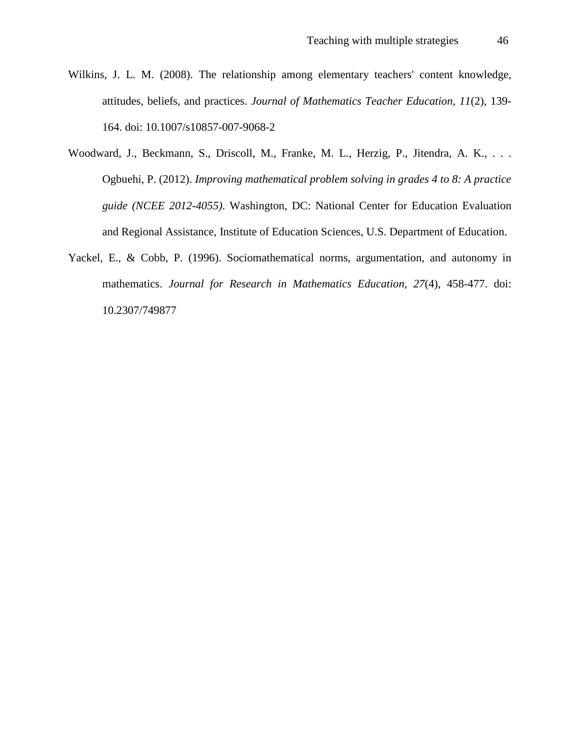- Wilkins, J. L. M. (2008). The relationship among elementary teachers' content knowledge, attitudes, beliefs, and practices. *Journal of Mathematics Teacher Education, 11*(2), 139- 164. doi: [10.1007/s10857-007-9068-2](http://sfx.hul.harvard.edu/hvd?__char_set=utf8&id=doi:10.1007/s10857-007-9068-2&sid=libx%3Ahul.harvard&genre=article)
- Woodward, J., Beckmann, S., Driscoll, M., Franke, M. L., Herzig, P., Jitendra, A. K., . . . Ogbuehi, P. (2012). *Improving mathematical problem solving in grades 4 to 8: A practice guide (NCEE 2012-4055)*. Washington, DC: National Center for Education Evaluation and Regional Assistance, Institute of Education Sciences, U.S. Department of Education.
- Yackel, E., & Cobb, P. (1996). Sociomathematical norms, argumentation, and autonomy in mathematics. *Journal for Research in Mathematics Education*, *27*(4), 458-477. doi: 10.2307/749877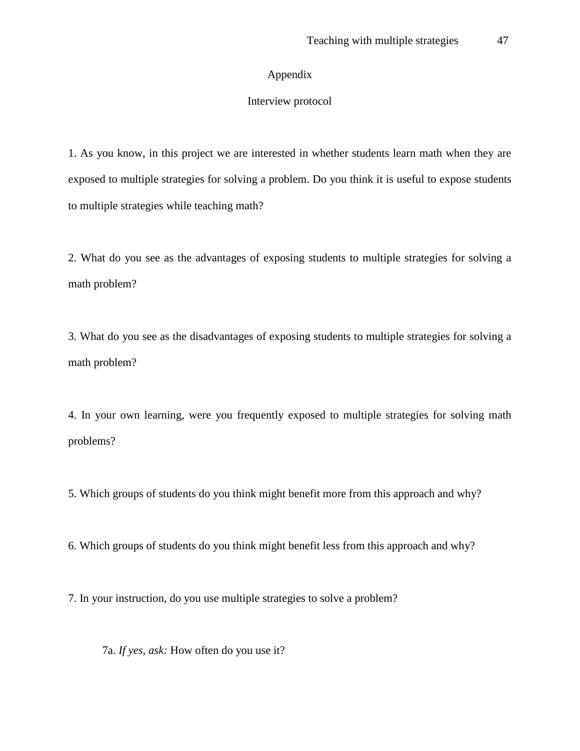#### Appendix

#### Interview protocol

1. As you know, in this project we are interested in whether students learn math when they are exposed to multiple strategies for solving a problem. Do you think it is useful to expose students to multiple strategies while teaching math?

2. What do you see as the advantages of exposing students to multiple strategies for solving a math problem?

3. What do you see as the disadvantages of exposing students to multiple strategies for solving a math problem?

4. In your own learning, were you frequently exposed to multiple strategies for solving math problems?

5. Which groups of students do you think might benefit more from this approach and why?

6. Which groups of students do you think might benefit less from this approach and why?

7. In your instruction, do you use multiple strategies to solve a problem?

7a. *If yes, ask:* How often do you use it?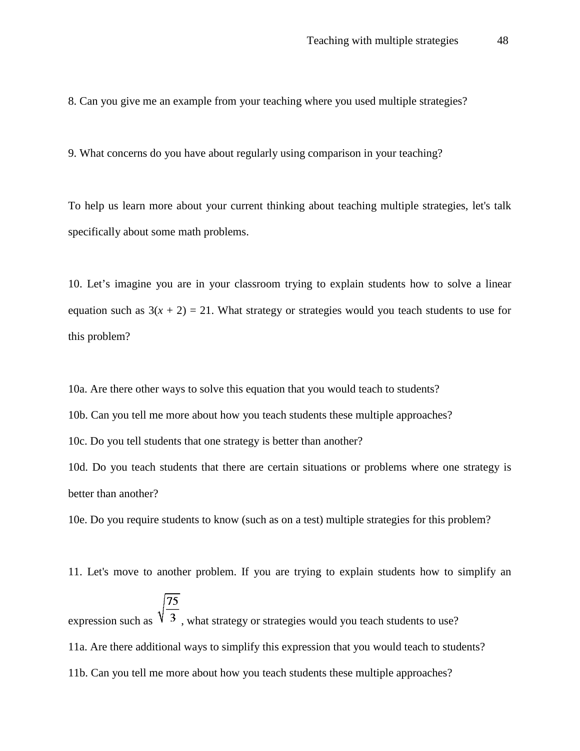8. Can you give me an example from your teaching where you used multiple strategies?

9. What concerns do you have about regularly using comparison in your teaching?

To help us learn more about your current thinking about teaching multiple strategies, let's talk specifically about some math problems.

10. Let's imagine you are in your classroom trying to explain students how to solve a linear equation such as  $3(x + 2) = 21$ . What strategy or strategies would you teach students to use for this problem?

10a. Are there other ways to solve this equation that you would teach to students?

10b. Can you tell me more about how you teach students these multiple approaches?

10c. Do you tell students that one strategy is better than another?

10d. Do you teach students that there are certain situations or problems where one strategy is better than another?

10e. Do you require students to know (such as on a test) multiple strategies for this problem?

11. Let's move to another problem. If you are trying to explain students how to simplify an

 $\sqrt{75}$ expression such as  $\sqrt{3}$ , what strategy or strategies would you teach students to use? 11a. Are there additional ways to simplify this expression that you would teach to students? 11b. Can you tell me more about how you teach students these multiple approaches?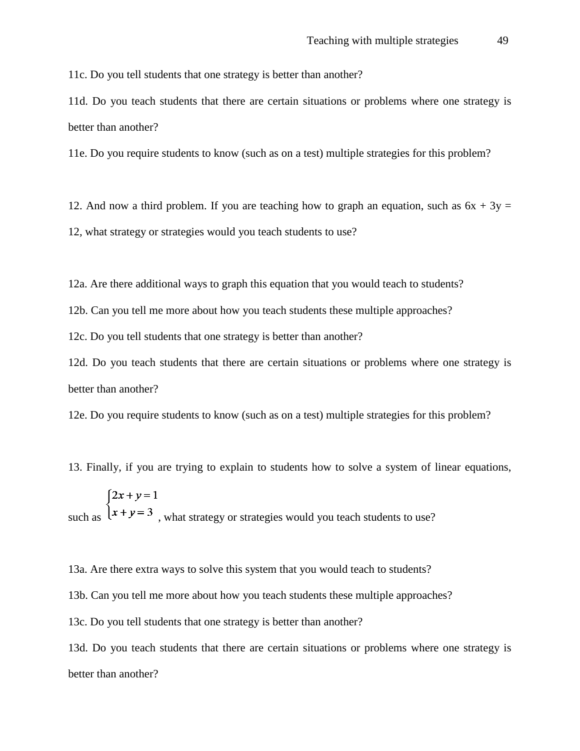11c. Do you tell students that one strategy is better than another?

11d. Do you teach students that there are certain situations or problems where one strategy is better than another?

11e. Do you require students to know (such as on a test) multiple strategies for this problem?

12. And now a third problem. If you are teaching how to graph an equation, such as  $6x + 3y =$ 

12*,* what strategy or strategies would you teach students to use?

12a. Are there additional ways to graph this equation that you would teach to students?

12b. Can you tell me more about how you teach students these multiple approaches?

12c. Do you tell students that one strategy is better than another?

12d. Do you teach students that there are certain situations or problems where one strategy is better than another?

12e. Do you require students to know (such as on a test) multiple strategies for this problem?

13. Finally, if you are trying to explain to students how to solve a system of linear equations,

 $\begin{cases} 2x + y = 1 \\ x + y = 3 \end{cases}$  what strategy or strategies would you teach students to use?

13a. Are there extra ways to solve this system that you would teach to students?

13b. Can you tell me more about how you teach students these multiple approaches?

13c. Do you tell students that one strategy is better than another?

13d. Do you teach students that there are certain situations or problems where one strategy is better than another?